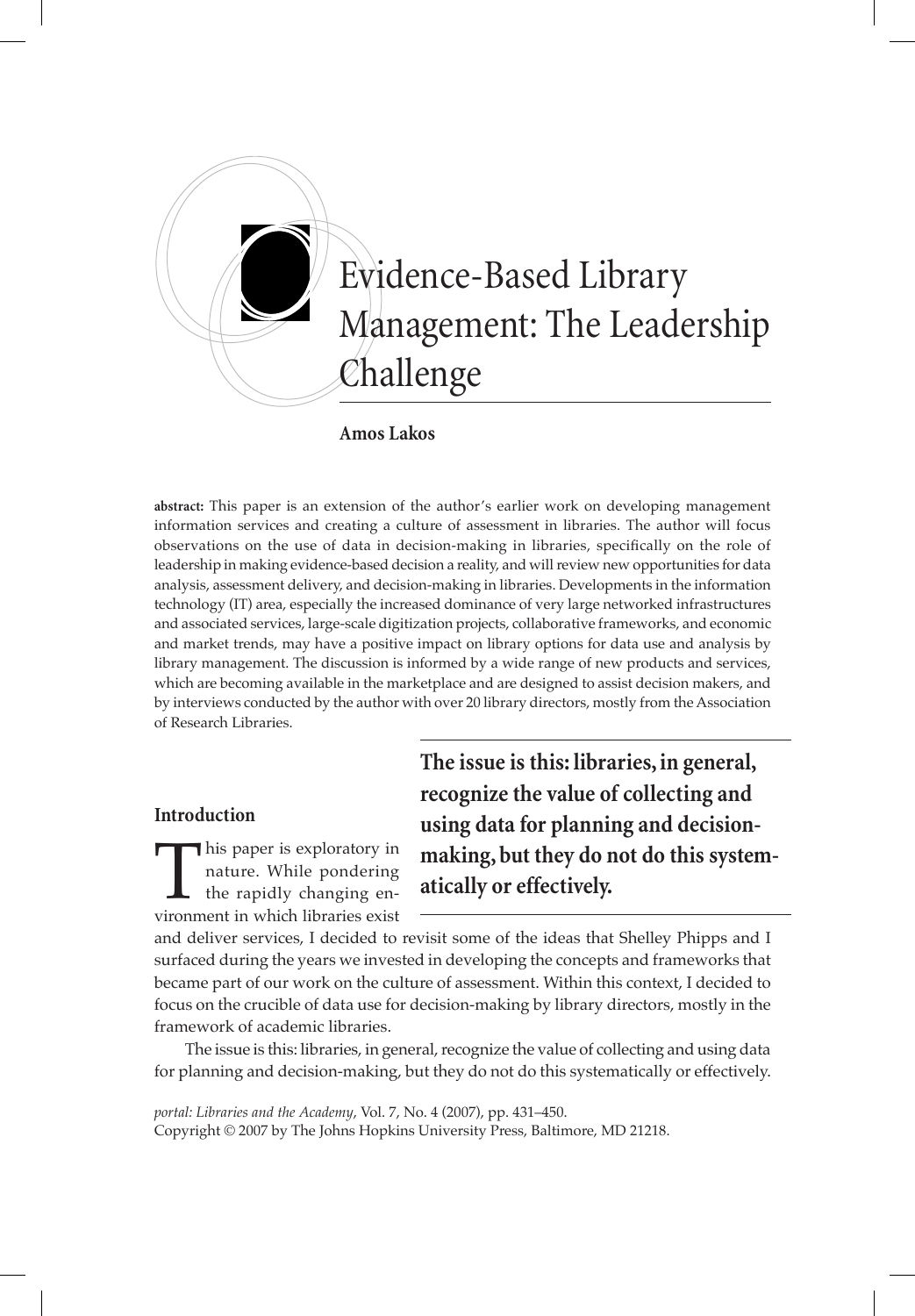

## **Amos Lakos**

**abstract:** This paper is an extension of the author's earlier work on developing management information services and creating a culture of assessment in libraries. The author will focus observations on the use of data in decision-making in libraries, specifically on the role of leadership in making evidence-based decision a reality, and will review new opportunities for data analysis, assessment delivery, and decision-making in libraries. Developments in the information technology (IT) area, especially the increased dominance of very large networked infrastructures and associated services, large-scale digitization projects, collaborative frameworks, and economic and market trends, may have a positive impact on library options for data use and analysis by library management. The discussion is informed by a wide range of new products and services, which are becoming available in the marketplace and are designed to assist decision makers, and by interviews conducted by the author with over 20 library directors, mostly from the Association of Research Libraries.

## **Introduction**

This paper is exploratory in<br>nature. While pondering<br>the rapidly changing environment in which libraries exist nature. While pondering the rapidly changing environment in which libraries exist

**The issue is this: libraries, in general, recognize the value of collecting and using data for planning and decisionmaking, but they do not do this systematically or effectively.** 

and deliver services, I decided to revisit some of the ideas that Shelley Phipps and I surfaced during the years we invested in developing the concepts and frameworks that became part of our work on the culture of assessment. Within this context, I decided to focus on the crucible of data use for decision-making by library directors, mostly in the framework of academic libraries.

The issue is this: libraries, in general, recognize the value of collecting and using data for planning and decision-making, but they do not do this systematically or effectively.

*portal: Libraries and the Academy*, Vol. 7, No. 4 (2007), pp. 431–450. Copyright © 2007 by The Johns Hopkins University Press, Baltimore, MD 21218.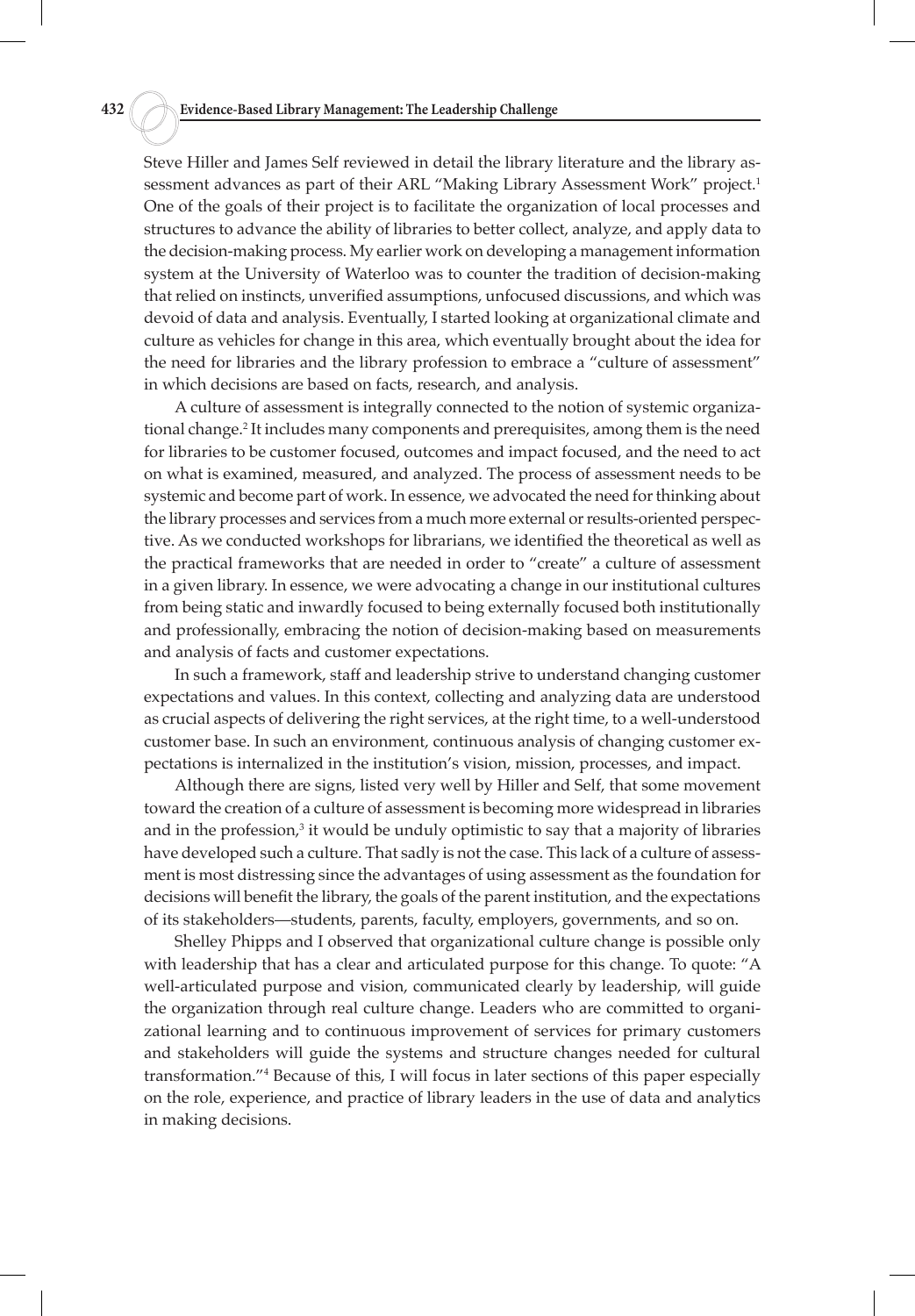Steve Hiller and James Self reviewed in detail the library literature and the library assessment advances as part of their ARL "Making Library Assessment Work" project.<sup>1</sup> One of the goals of their project is to facilitate the organization of local processes and structures to advance the ability of libraries to better collect, analyze, and apply data to the decision-making process. My earlier work on developing a management information system at the University of Waterloo was to counter the tradition of decision-making that relied on instincts, unverified assumptions, unfocused discussions, and which was devoid of data and analysis. Eventually, I started looking at organizational climate and culture as vehicles for change in this area, which eventually brought about the idea for the need for libraries and the library profession to embrace a "culture of assessment" in which decisions are based on facts, research, and analysis.

A culture of assessment is integrally connected to the notion of systemic organizational change.2 It includes many components and prerequisites, among them is the need for libraries to be customer focused, outcomes and impact focused, and the need to act on what is examined, measured, and analyzed. The process of assessment needs to be systemic and become part of work. In essence, we advocated the need for thinking about the library processes and services from a much more external or results-oriented perspective. As we conducted workshops for librarians, we identified the theoretical as well as the practical frameworks that are needed in order to "create" a culture of assessment in a given library. In essence, we were advocating a change in our institutional cultures from being static and inwardly focused to being externally focused both institutionally and professionally, embracing the notion of decision-making based on measurements and analysis of facts and customer expectations.

In such a framework, staff and leadership strive to understand changing customer expectations and values. In this context, collecting and analyzing data are understood as crucial aspects of delivering the right services, at the right time, to a well-understood customer base. In such an environment, continuous analysis of changing customer expectations is internalized in the institution's vision, mission, processes, and impact.

Although there are signs, listed very well by Hiller and Self, that some movement toward the creation of a culture of assessment is becoming more widespread in libraries and in the profession, $^3$  it would be unduly optimistic to say that a majority of libraries have developed such a culture. That sadly is not the case. This lack of a culture of assessment is most distressing since the advantages of using assessment as the foundation for decisions will benefit the library, the goals of the parent institution, and the expectations of its stakeholders—students, parents, faculty, employers, governments, and so on.

Shelley Phipps and I observed that organizational culture change is possible only with leadership that has a clear and articulated purpose for this change. To quote: "A well-articulated purpose and vision, communicated clearly by leadership, will guide the organization through real culture change. Leaders who are committed to organizational learning and to continuous improvement of services for primary customers and stakeholders will guide the systems and structure changes needed for cultural transformation."4 Because of this, I will focus in later sections of this paper especially on the role, experience, and practice of library leaders in the use of data and analytics in making decisions.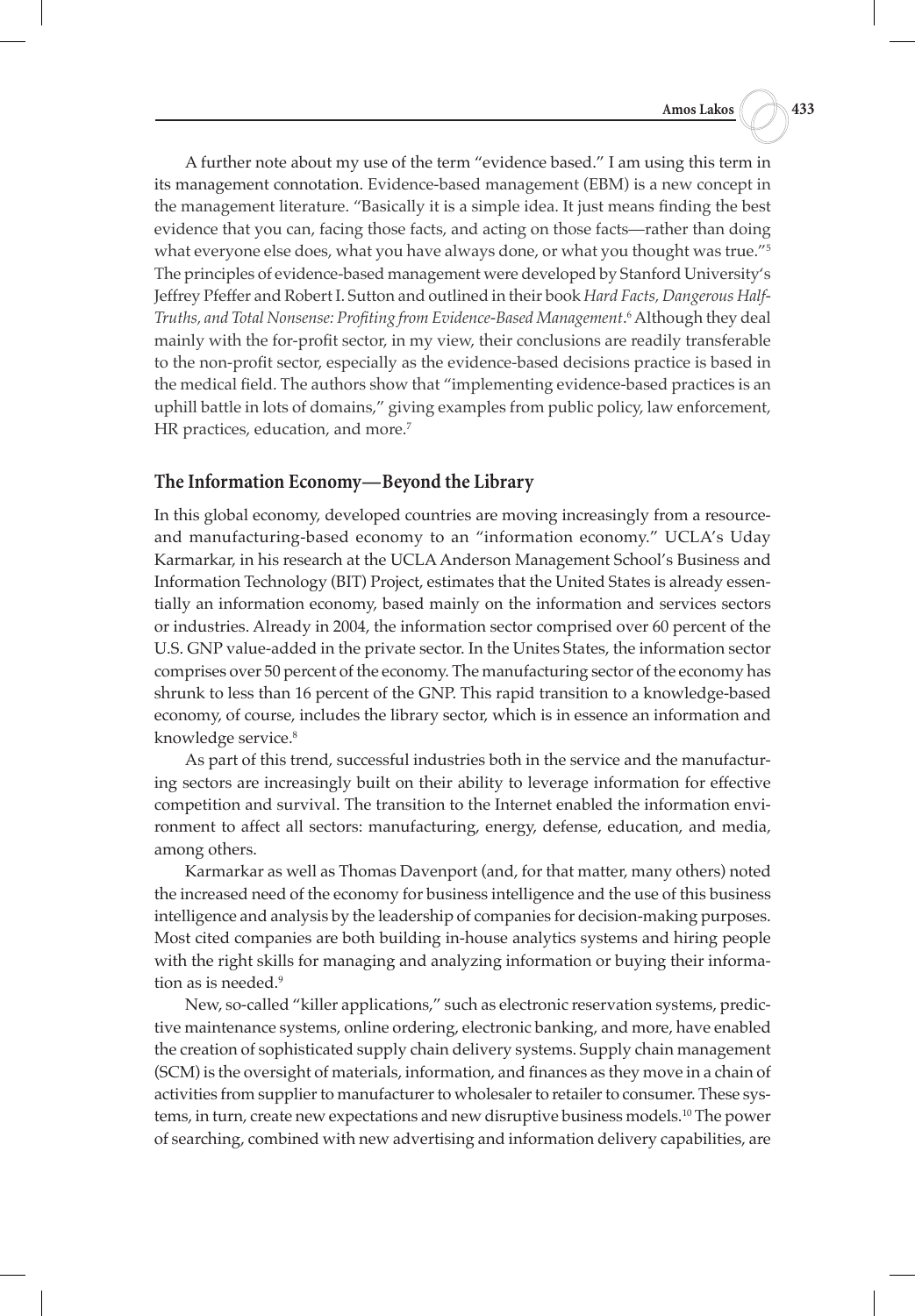A further note about my use of the term "evidence based." I am using this term in its management connotation. Evidence-based management (EBM) is a new concept in the management literature. "Basically it is a simple idea. It just means finding the best evidence that you can, facing those facts, and acting on those facts—rather than doing what everyone else does, what you have always done, or what you thought was true."<sup>5</sup> The principles of evidence-based management were developed by Stanford University's Jeffrey Pfeffer and Robert I. Sutton and outlined in their book *Hard Facts, Dangerous Half-Truths, and Total Nonsense: Profiting from Evidence-Based Management*. 6 Although they deal mainly with the for-profit sector, in my view, their conclusions are readily transferable to the non-profit sector, especially as the evidence-based decisions practice is based in the medical field. The authors show that "implementing evidence-based practices is an uphill battle in lots of domains," giving examples from public policy, law enforcement, HR practices, education, and more.<sup>7</sup>

### **The Information Economy—Beyond the Library**

In this global economy, developed countries are moving increasingly from a resourceand manufacturing-based economy to an "information economy." UCLA's Uday Karmarkar, in his research at the UCLA Anderson Management School's Business and Information Technology (BIT) Project, estimates that the United States is already essentially an information economy, based mainly on the information and services sectors or industries. Already in 2004, the information sector comprised over 60 percent of the U.S. GNP value-added in the private sector. In the Unites States, the information sector comprises over 50 percent of the economy. The manufacturing sector of the economy has shrunk to less than 16 percent of the GNP. This rapid transition to a knowledge-based economy, of course, includes the library sector, which is in essence an information and knowledge service.<sup>8</sup>

As part of this trend, successful industries both in the service and the manufacturing sectors are increasingly built on their ability to leverage information for effective competition and survival. The transition to the Internet enabled the information environment to affect all sectors: manufacturing, energy, defense, education, and media, among others.

Karmarkar as well as Thomas Davenport (and, for that matter, many others) noted the increased need of the economy for business intelligence and the use of this business intelligence and analysis by the leadership of companies for decision-making purposes. Most cited companies are both building in-house analytics systems and hiring people with the right skills for managing and analyzing information or buying their information as is needed.<sup>9</sup>

New, so-called "killer applications," such as electronic reservation systems, predictive maintenance systems, online ordering, electronic banking, and more, have enabled the creation of sophisticated supply chain delivery systems. Supply chain management (SCM) is the oversight of materials, information, and finances as they move in a chain of activities from supplier to manufacturer to wholesaler to retailer to consumer. These systems, in turn, create new expectations and new disruptive business models.10 The power of searching, combined with new advertising and information delivery capabilities, are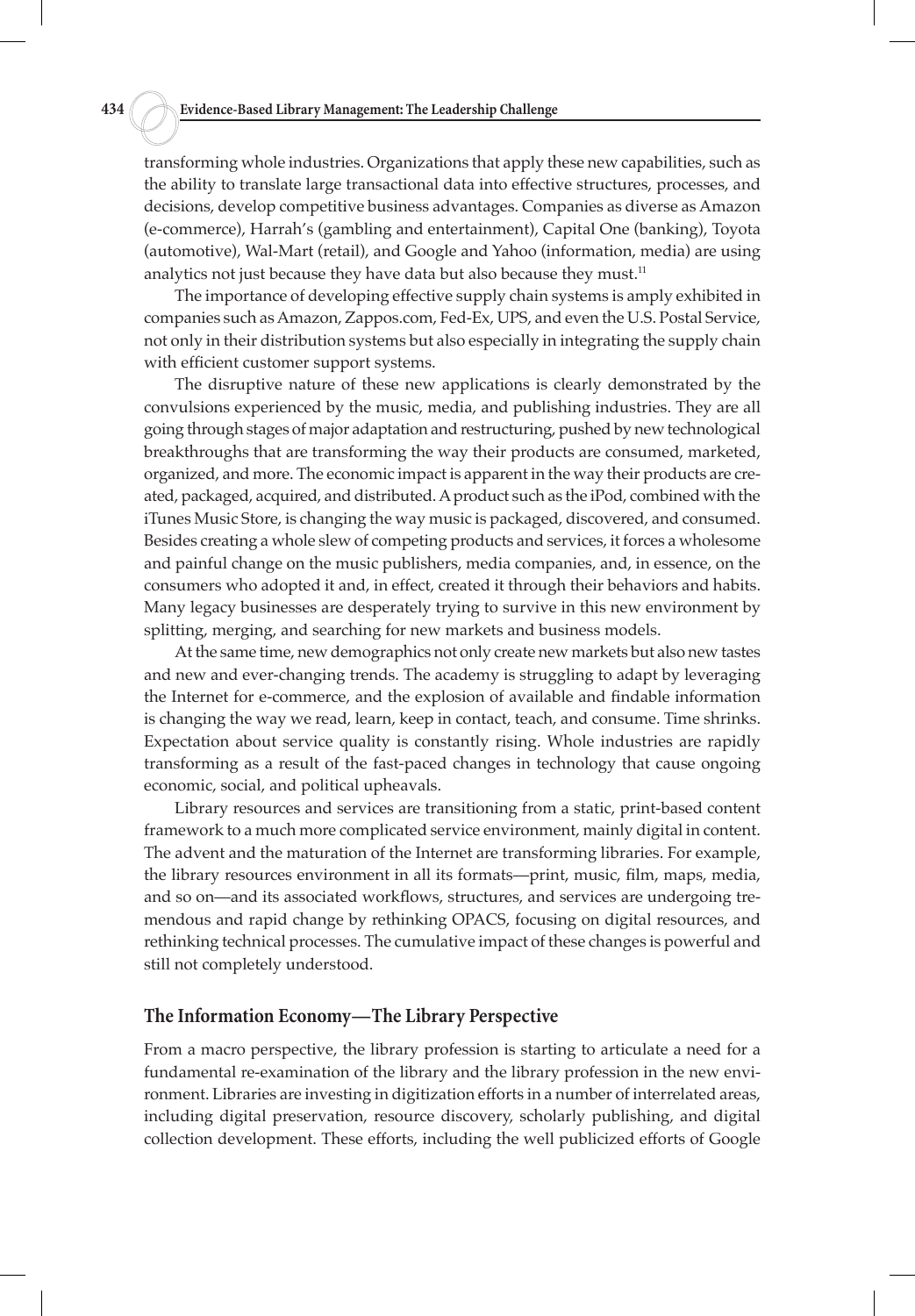transforming whole industries. Organizations that apply these new capabilities, such as the ability to translate large transactional data into effective structures, processes, and decisions, develop competitive business advantages. Companies as diverse as Amazon (e-commerce), Harrah's (gambling and entertainment), Capital One (banking), Toyota (automotive), Wal-Mart (retail), and Google and Yahoo (information, media) are using analytics not just because they have data but also because they must.<sup>11</sup>

The importance of developing effective supply chain systems is amply exhibited in companies such as Amazon, Zappos.com, Fed-Ex, UPS, and even the U.S. Postal Service, not only in their distribution systems but also especially in integrating the supply chain with efficient customer support systems.

The disruptive nature of these new applications is clearly demonstrated by the convulsions experienced by the music, media, and publishing industries. They are all going through stages of major adaptation and restructuring, pushed by new technological breakthroughs that are transforming the way their products are consumed, marketed, organized, and more. The economic impact is apparent in the way their products are created, packaged, acquired, and distributed. A product such as the iPod, combined with the iTunes Music Store, is changing the way music is packaged, discovered, and consumed. Besides creating a whole slew of competing products and services, it forces a wholesome and painful change on the music publishers, media companies, and, in essence, on the consumers who adopted it and, in effect, created it through their behaviors and habits. Many legacy businesses are desperately trying to survive in this new environment by splitting, merging, and searching for new markets and business models.

At the same time, new demographics not only create new markets but also new tastes and new and ever-changing trends. The academy is struggling to adapt by leveraging the Internet for e-commerce, and the explosion of available and findable information is changing the way we read, learn, keep in contact, teach, and consume. Time shrinks. Expectation about service quality is constantly rising. Whole industries are rapidly transforming as a result of the fast-paced changes in technology that cause ongoing economic, social, and political upheavals.

Library resources and services are transitioning from a static, print-based content framework to a much more complicated service environment, mainly digital in content. The advent and the maturation of the Internet are transforming libraries. For example, the library resources environment in all its formats—print, music, film, maps, media, and so on—and its associated workflows, structures, and services are undergoing tremendous and rapid change by rethinking OPACS, focusing on digital resources, and rethinking technical processes. The cumulative impact of these changes is powerful and still not completely understood.

#### **The Information Economy—The Library Perspective**

From a macro perspective, the library profession is starting to articulate a need for a fundamental re-examination of the library and the library profession in the new environment. Libraries are investing in digitization efforts in a number of interrelated areas, including digital preservation, resource discovery, scholarly publishing, and digital collection development. These efforts, including the well publicized efforts of Google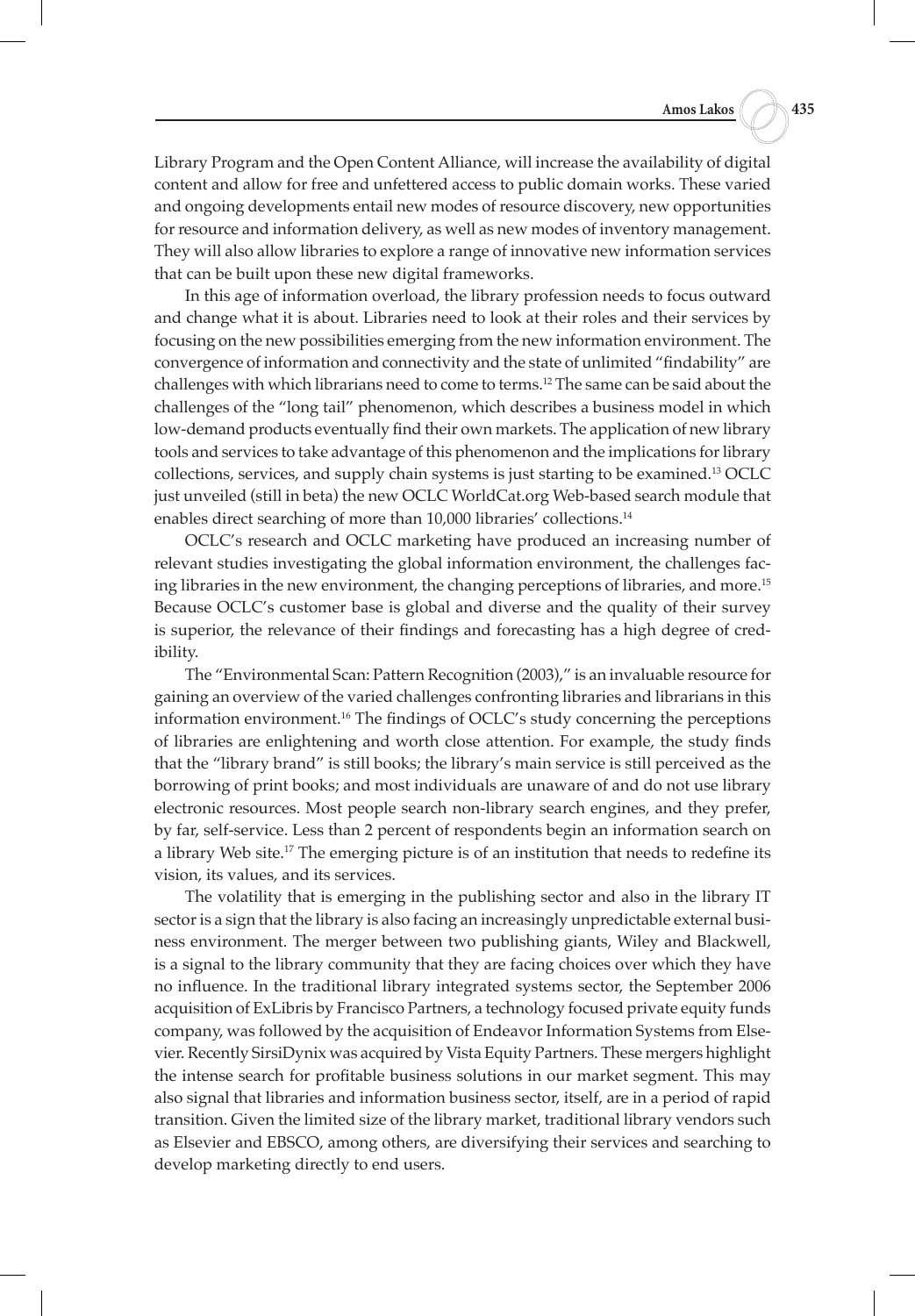Library Program and the Open Content Alliance, will increase the availability of digital content and allow for free and unfettered access to public domain works. These varied and ongoing developments entail new modes of resource discovery, new opportunities for resource and information delivery, as well as new modes of inventory management. They will also allow libraries to explore a range of innovative new information services that can be built upon these new digital frameworks.

In this age of information overload, the library profession needs to focus outward and change what it is about. Libraries need to look at their roles and their services by focusing on the new possibilities emerging from the new information environment. The convergence of information and connectivity and the state of unlimited "findability" are challenges with which librarians need to come to terms.12 The same can be said about the challenges of the "long tail" phenomenon, which describes a business model in which low-demand products eventually find their own markets. The application of new library tools and services to take advantage of this phenomenon and the implications for library collections, services, and supply chain systems is just starting to be examined.13 OCLC just unveiled (still in beta) the new OCLC WorldCat.org Web-based search module that enables direct searching of more than 10,000 libraries' collections.<sup>14</sup>

OCLC's research and OCLC marketing have produced an increasing number of relevant studies investigating the global information environment, the challenges facing libraries in the new environment, the changing perceptions of libraries, and more.<sup>15</sup> Because OCLC's customer base is global and diverse and the quality of their survey is superior, the relevance of their findings and forecasting has a high degree of credibility.

The "Environmental Scan: Pattern Recognition (2003)," is an invaluable resource for gaining an overview of the varied challenges confronting libraries and librarians in this information environment.16 The findings of OCLC's study concerning the perceptions of libraries are enlightening and worth close attention. For example, the study finds that the "library brand" is still books; the library's main service is still perceived as the borrowing of print books; and most individuals are unaware of and do not use library electronic resources. Most people search non-library search engines, and they prefer, by far, self-service. Less than 2 percent of respondents begin an information search on a library Web site.<sup>17</sup> The emerging picture is of an institution that needs to redefine its vision, its values, and its services.

The volatility that is emerging in the publishing sector and also in the library IT sector is a sign that the library is also facing an increasingly unpredictable external business environment. The merger between two publishing giants, Wiley and Blackwell, is a signal to the library community that they are facing choices over which they have no influence. In the traditional library integrated systems sector, the September 2006 acquisition of ExLibris by Francisco Partners, a technology focused private equity funds company, was followed by the acquisition of Endeavor Information Systems from Elsevier. Recently SirsiDynix was acquired by Vista Equity Partners. These mergers highlight the intense search for profitable business solutions in our market segment. This may also signal that libraries and information business sector, itself, are in a period of rapid transition. Given the limited size of the library market, traditional library vendors such as Elsevier and EBSCO, among others, are diversifying their services and searching to develop marketing directly to end users.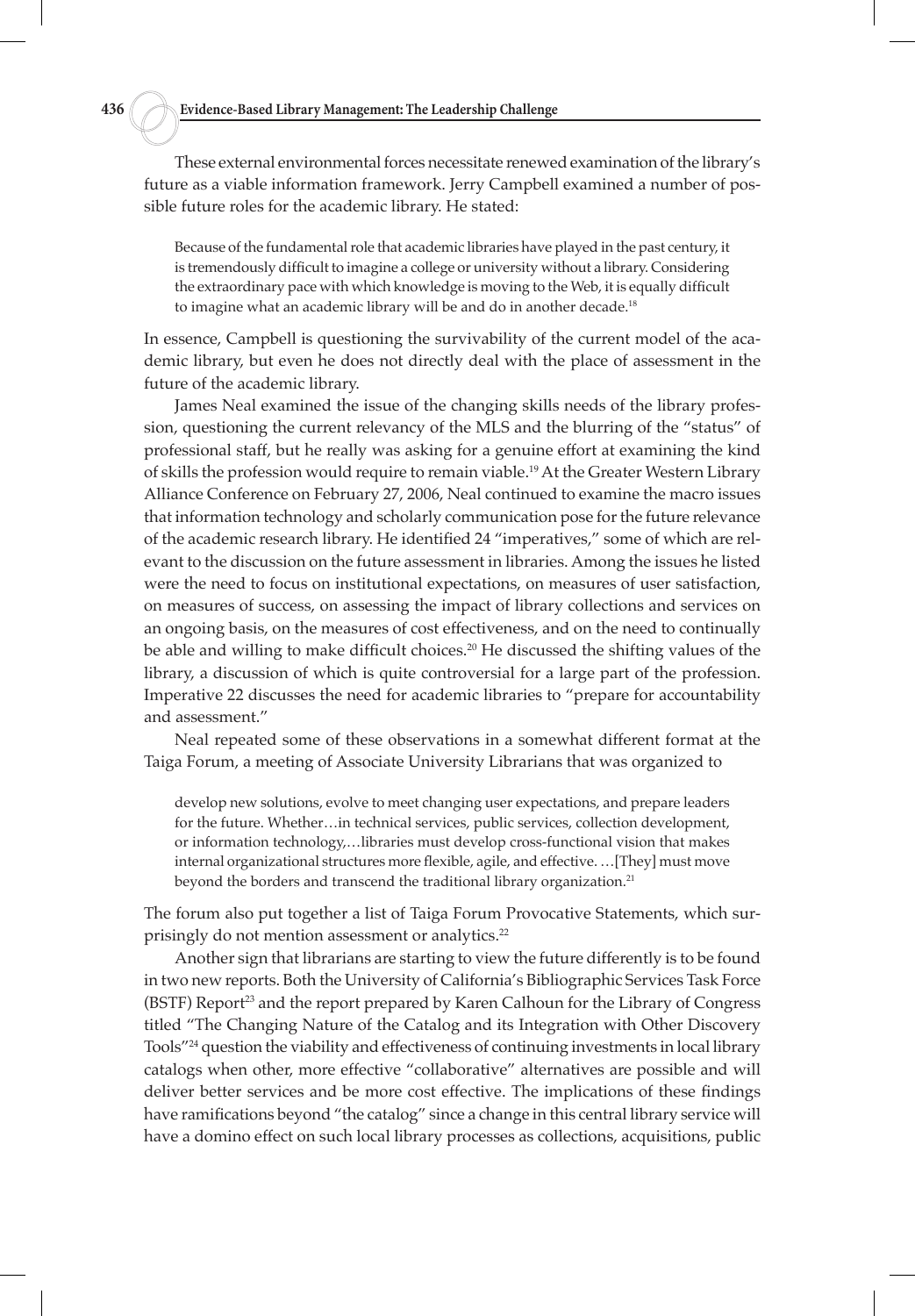These external environmental forces necessitate renewed examination of the library's future as a viable information framework. Jerry Campbell examined a number of possible future roles for the academic library. He stated:

Because of the fundamental role that academic libraries have played in the past century, it is tremendously difficult to imagine a college or university without a library. Considering the extraordinary pace with which knowledge is moving to the Web, it is equally difficult to imagine what an academic library will be and do in another decade.<sup>18</sup>

In essence, Campbell is questioning the survivability of the current model of the academic library, but even he does not directly deal with the place of assessment in the future of the academic library.

James Neal examined the issue of the changing skills needs of the library profession, questioning the current relevancy of the MLS and the blurring of the "status" of professional staff, but he really was asking for a genuine effort at examining the kind of skills the profession would require to remain viable.19 At the Greater Western Library Alliance Conference on February 27, 2006, Neal continued to examine the macro issues that information technology and scholarly communication pose for the future relevance of the academic research library. He identified 24 "imperatives," some of which are relevant to the discussion on the future assessment in libraries. Among the issues he listed were the need to focus on institutional expectations, on measures of user satisfaction, on measures of success, on assessing the impact of library collections and services on an ongoing basis, on the measures of cost effectiveness, and on the need to continually be able and willing to make difficult choices.<sup>20</sup> He discussed the shifting values of the library, a discussion of which is quite controversial for a large part of the profession. Imperative 22 discusses the need for academic libraries to "prepare for accountability and assessment."

Neal repeated some of these observations in a somewhat different format at the Taiga Forum, a meeting of Associate University Librarians that was organized to

develop new solutions, evolve to meet changing user expectations, and prepare leaders for the future. Whether…in technical services, public services, collection development, or information technology,…libraries must develop cross-functional vision that makes internal organizational structures more flexible, agile, and effective. …[They] must move beyond the borders and transcend the traditional library organization.<sup>21</sup>

The forum also put together a list of Taiga Forum Provocative Statements, which surprisingly do not mention assessment or analytics.<sup>22</sup>

Another sign that librarians are starting to view the future differently is to be found in two new reports. Both the University of California's Bibliographic Services Task Force  $(BSTF)$  Report<sup>23</sup> and the report prepared by Karen Calhoun for the Library of Congress titled "The Changing Nature of the Catalog and its Integration with Other Discovery Tools"24 question the viability and effectiveness of continuing investments in local library catalogs when other, more effective "collaborative" alternatives are possible and will deliver better services and be more cost effective. The implications of these findings have ramifications beyond "the catalog" since a change in this central library service will have a domino effect on such local library processes as collections, acquisitions, public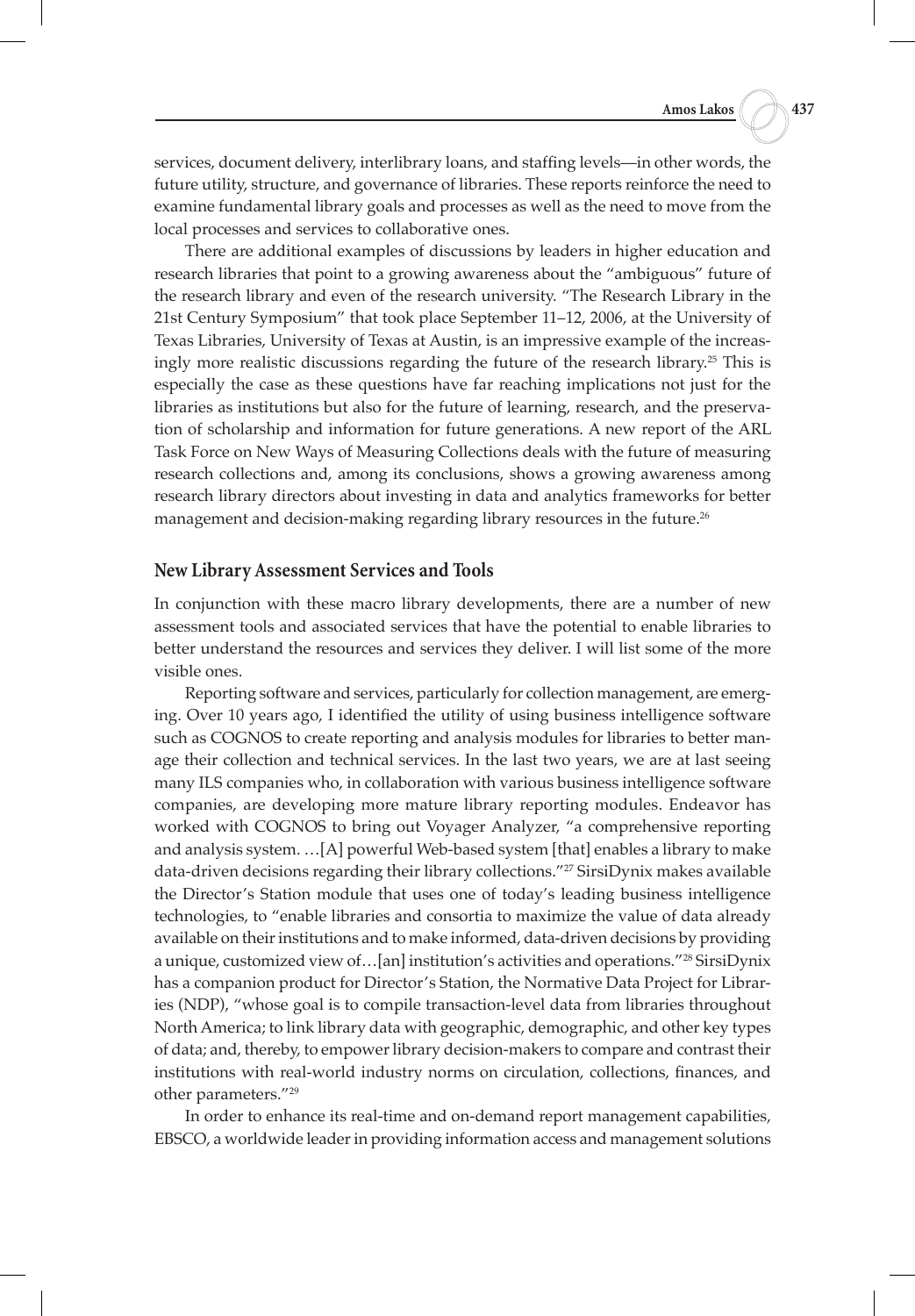services, document delivery, interlibrary loans, and staffing levels—in other words, the future utility, structure, and governance of libraries. These reports reinforce the need to examine fundamental library goals and processes as well as the need to move from the local processes and services to collaborative ones.

There are additional examples of discussions by leaders in higher education and research libraries that point to a growing awareness about the "ambiguous" future of the research library and even of the research university. "The Research Library in the 21st Century Symposium" that took place September 11–12, 2006, at the University of Texas Libraries, University of Texas at Austin, is an impressive example of the increasingly more realistic discussions regarding the future of the research library.<sup>25</sup> This is especially the case as these questions have far reaching implications not just for the libraries as institutions but also for the future of learning, research, and the preservation of scholarship and information for future generations. A new report of the ARL Task Force on New Ways of Measuring Collections deals with the future of measuring research collections and, among its conclusions, shows a growing awareness among research library directors about investing in data and analytics frameworks for better management and decision-making regarding library resources in the future.<sup>26</sup>

#### **New Library Assessment Services and Tools**

In conjunction with these macro library developments, there are a number of new assessment tools and associated services that have the potential to enable libraries to better understand the resources and services they deliver. I will list some of the more visible ones.

Reporting software and services, particularly for collection management, are emerging. Over 10 years ago, I identified the utility of using business intelligence software such as COGNOS to create reporting and analysis modules for libraries to better manage their collection and technical services. In the last two years, we are at last seeing many ILS companies who, in collaboration with various business intelligence software companies, are developing more mature library reporting modules. Endeavor has worked with COGNOS to bring out Voyager Analyzer, "a comprehensive reporting and analysis system. …[A] powerful Web-based system [that] enables a library to make data-driven decisions regarding their library collections."27 SirsiDynix makes available the Director's Station module that uses one of today's leading business intelligence technologies, to "enable libraries and consortia to maximize the value of data already available on their institutions and to make informed, data-driven decisions by providing a unique, customized view of…[an] institution's activities and operations."28 SirsiDynix has a companion product for Director's Station, the Normative Data Project for Libraries (NDP), "whose goal is to compile transaction-level data from libraries throughout North America; to link library data with geographic, demographic, and other key types of data; and, thereby, to empower library decision-makers to compare and contrast their institutions with real-world industry norms on circulation, collections, finances, and other parameters."29

In order to enhance its real-time and on-demand report management capabilities, EBSCO, a worldwide leader in providing information access and management solutions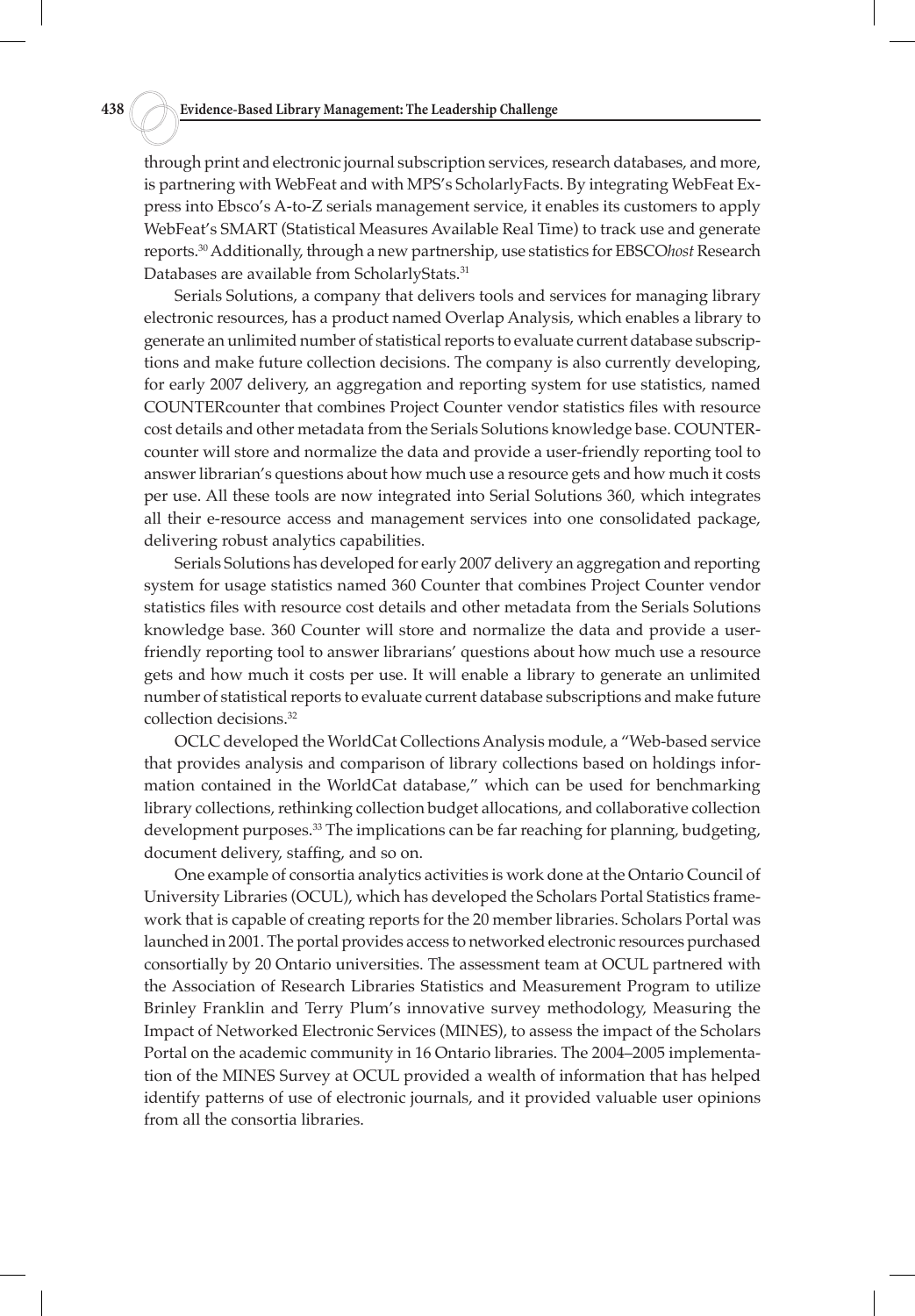through print and electronic journal subscription services, research databases, and more, is partnering with WebFeat and with MPS's ScholarlyFacts. By integrating WebFeat Express into Ebsco's A-to-Z serials management service, it enables its customers to apply WebFeat's SMART (Statistical Measures Available Real Time) to track use and generate reports.30 Additionally, through a new partnership, use statistics for EBSCO*host* Research Databases are available from ScholarlyStats.<sup>31</sup>

Serials Solutions, a company that delivers tools and services for managing library electronic resources, has a product named Overlap Analysis, which enables a library to generate an unlimited number of statistical reports to evaluate current database subscriptions and make future collection decisions. The company is also currently developing, for early 2007 delivery, an aggregation and reporting system for use statistics, named COUNTERcounter that combines Project Counter vendor statistics files with resource cost details and other metadata from the Serials Solutions knowledge base. COUNTERcounter will store and normalize the data and provide a user-friendly reporting tool to answer librarian's questions about how much use a resource gets and how much it costs per use. All these tools are now integrated into Serial Solutions 360, which integrates all their e-resource access and management services into one consolidated package, delivering robust analytics capabilities.

Serials Solutions has developed for early 2007 delivery an aggregation and reporting system for usage statistics named 360 Counter that combines Project Counter vendor statistics files with resource cost details and other metadata from the Serials Solutions knowledge base. 360 Counter will store and normalize the data and provide a userfriendly reporting tool to answer librarians' questions about how much use a resource gets and how much it costs per use. It will enable a library to generate an unlimited number of statistical reports to evaluate current database subscriptions and make future collection decisions.32

OCLC developed the WorldCat Collections Analysis module, a "Web-based service that provides analysis and comparison of library collections based on holdings information contained in the WorldCat database," which can be used for benchmarking library collections, rethinking collection budget allocations, and collaborative collection development purposes.<sup>33</sup> The implications can be far reaching for planning, budgeting, document delivery, staffing, and so on.

One example of consortia analytics activities is work done at the Ontario Council of University Libraries (OCUL), which has developed the Scholars Portal Statistics framework that is capable of creating reports for the 20 member libraries. Scholars Portal was launched in 2001. The portal provides access to networked electronic resources purchased consortially by 20 Ontario universities. The assessment team at OCUL partnered with the Association of Research Libraries Statistics and Measurement Program to utilize Brinley Franklin and Terry Plum's innovative survey methodology, Measuring the Impact of Networked Electronic Services (MINES), to assess the impact of the Scholars Portal on the academic community in 16 Ontario libraries. The 2004–2005 implementation of the MINES Survey at OCUL provided a wealth of information that has helped identify patterns of use of electronic journals, and it provided valuable user opinions from all the consortia libraries.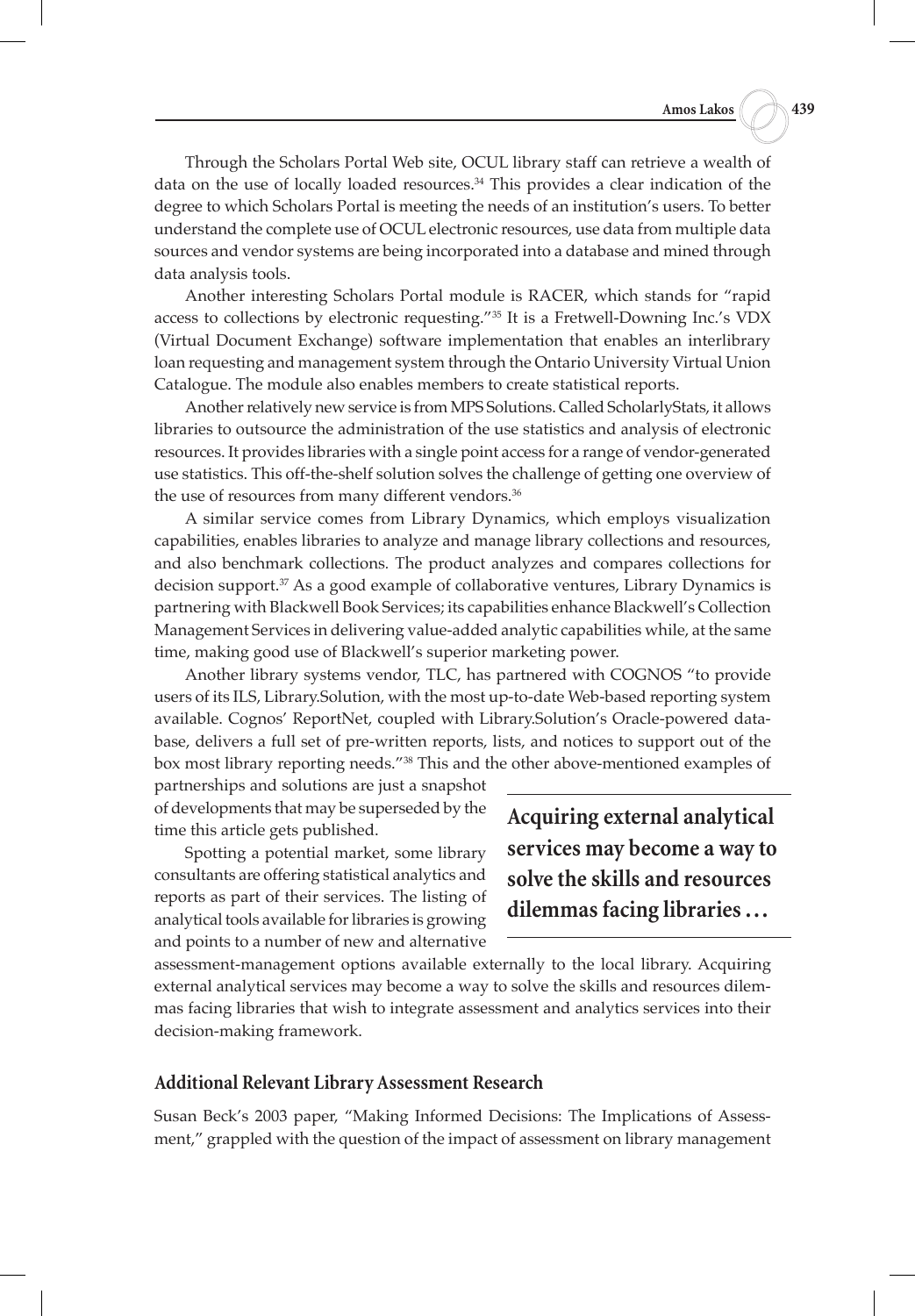Through the Scholars Portal Web site, OCUL library staff can retrieve a wealth of data on the use of locally loaded resources.<sup>34</sup> This provides a clear indication of the degree to which Scholars Portal is meeting the needs of an institution's users. To better understand the complete use of OCUL electronic resources, use data from multiple data sources and vendor systems are being incorporated into a database and mined through data analysis tools.

Another interesting Scholars Portal module is RACER, which stands for "rapid access to collections by electronic requesting."35 It is a Fretwell-Downing Inc.'s VDX (Virtual Document Exchange) software implementation that enables an interlibrary loan requesting and management system through the Ontario University Virtual Union Catalogue. The module also enables members to create statistical reports.

Another relatively new service is from MPS Solutions. Called ScholarlyStats, it allows libraries to outsource the administration of the use statistics and analysis of electronic resources. It provides libraries with a single point access for a range of vendor-generated use statistics. This off-the-shelf solution solves the challenge of getting one overview of the use of resources from many different vendors.<sup>36</sup>

A similar service comes from Library Dynamics, which employs visualization capabilities, enables libraries to analyze and manage library collections and resources, and also benchmark collections*.* The product analyzes and compares collections for decision support.<sup>37</sup> As a good example of collaborative ventures, Library Dynamics is partnering with Blackwell Book Services; its capabilities enhance Blackwell's Collection Management Services in delivering value-added analytic capabilities while, at the same time, making good use of Blackwell's superior marketing power.

Another library systems vendor, TLC, has partnered with COGNOS "to provide users of its ILS, Library.Solution, with the most up-to-date Web-based reporting system available. Cognos' ReportNet, coupled with Library.Solution's Oracle-powered database, delivers a full set of pre-written reports, lists, and notices to support out of the box most library reporting needs."38 This and the other above-mentioned examples of

partnerships and solutions are just a snapshot of developments that may be superseded by the time this article gets published.

Spotting a potential market, some library consultants are offering statistical analytics and reports as part of their services. The listing of analytical tools available for libraries is growing and points to a number of new and alternative **Acquiring external analytical services may become a way to solve the skills and resources dilemmas facing libraries . . .** 

assessment-management options available externally to the local library. Acquiring external analytical services may become a way to solve the skills and resources dilemmas facing libraries that wish to integrate assessment and analytics services into their decision-making framework.

#### **Additional Relevant Library Assessment Research**

Susan Beck's 2003 paper, "Making Informed Decisions: The Implications of Assessment," grappled with the question of the impact of assessment on library management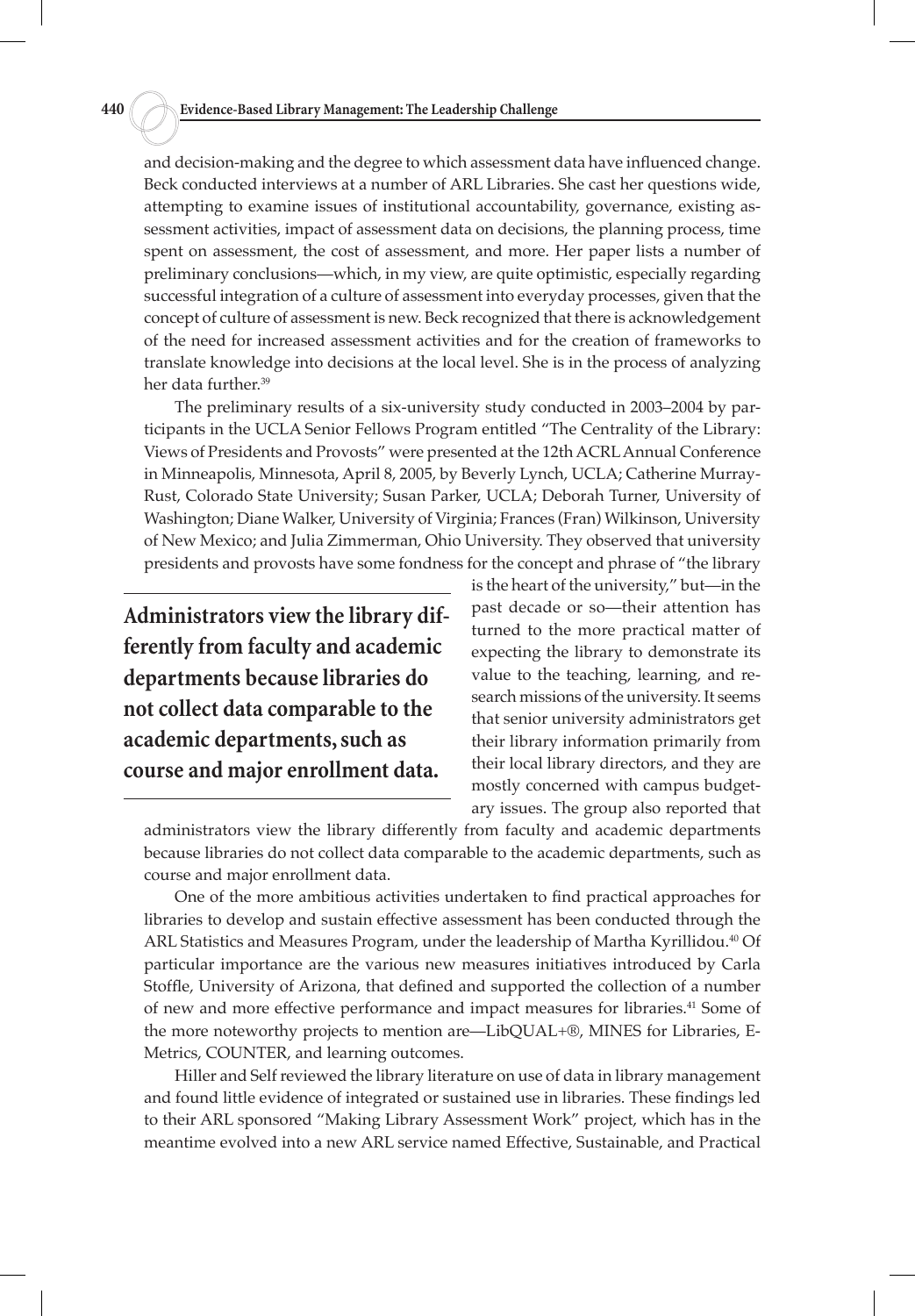and decision-making and the degree to which assessment data have influenced change. Beck conducted interviews at a number of ARL Libraries. She cast her questions wide, attempting to examine issues of institutional accountability, governance, existing assessment activities, impact of assessment data on decisions, the planning process, time spent on assessment, the cost of assessment, and more. Her paper lists a number of preliminary conclusions—which, in my view, are quite optimistic, especially regarding successful integration of a culture of assessment into everyday processes, given that the concept of culture of assessment is new. Beck recognized that there is acknowledgement of the need for increased assessment activities and for the creation of frameworks to translate knowledge into decisions at the local level. She is in the process of analyzing her data further.<sup>39</sup>

The preliminary results of a six-university study conducted in 2003–2004 by participants in the UCLA Senior Fellows Program entitled "The Centrality of the Library: Views of Presidents and Provosts" were presented at the 12th ACRL Annual Conference in Minneapolis, Minnesota, April 8, 2005, by Beverly Lynch, UCLA; Catherine Murray-Rust, Colorado State University; Susan Parker, UCLA; Deborah Turner, University of Washington; Diane Walker, University of Virginia; Frances (Fran) Wilkinson, University of New Mexico; and Julia Zimmerman, Ohio University. They observed that university presidents and provosts have some fondness for the concept and phrase of "the library

**Administrators view the library differently from faculty and academic departments because libraries do not collect data comparable to the academic departments, such as course and major enrollment data.**

is the heart of the university," but—in the past decade or so—their attention has turned to the more practical matter of expecting the library to demonstrate its value to the teaching, learning, and research missions of the university. It seems that senior university administrators get their library information primarily from their local library directors, and they are mostly concerned with campus budgetary issues. The group also reported that

administrators view the library differently from faculty and academic departments because libraries do not collect data comparable to the academic departments, such as course and major enrollment data.

One of the more ambitious activities undertaken to find practical approaches for libraries to develop and sustain effective assessment has been conducted through the ARL Statistics and Measures Program, under the leadership of Martha Kyrillidou.40 Of particular importance are the various new measures initiatives introduced by Carla Stoffle, University of Arizona, that defined and supported the collection of a number of new and more effective performance and impact measures for libraries.41 Some of the more noteworthy projects to mention are—LibQUAL+®, MINES for Libraries, E-Metrics, COUNTER, and learning outcomes.

Hiller and Self reviewed the library literature on use of data in library management and found little evidence of integrated or sustained use in libraries. These findings led to their ARL sponsored "Making Library Assessment Work" project, which has in the meantime evolved into a new ARL service named Effective, Sustainable, and Practical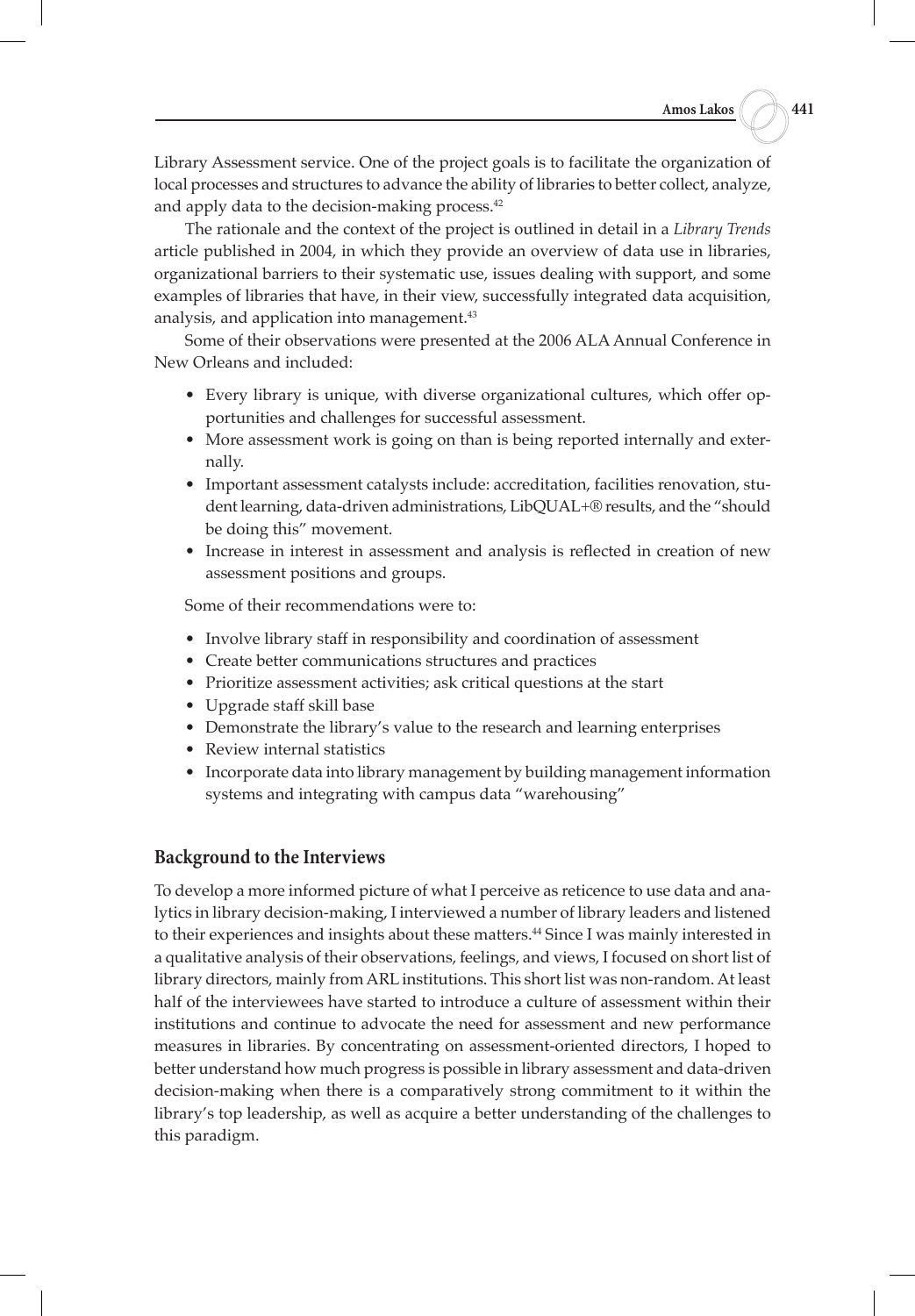Library Assessment service. One of the project goals is to facilitate the organization of local processes and structures to advance the ability of libraries to better collect, analyze, and apply data to the decision-making process.<sup>42</sup>

The rationale and the context of the project is outlined in detail in a *Library Trends* article published in 2004, in which they provide an overview of data use in libraries, organizational barriers to their systematic use, issues dealing with support, and some examples of libraries that have, in their view, successfully integrated data acquisition, analysis, and application into management.<sup>43</sup>

Some of their observations were presented at the 2006 ALA Annual Conference in New Orleans and included:

- Every library is unique, with diverse organizational cultures, which offer opportunities and challenges for successful assessment.
- More assessment work is going on than is being reported internally and externally.
- Important assessment catalysts include: accreditation, facilities renovation, student learning, data-driven administrations, LibQUAL+® results, and the "should be doing this" movement.
- Increase in interest in assessment and analysis is reflected in creation of new assessment positions and groups.

Some of their recommendations were to:

- Involve library staff in responsibility and coordination of assessment
- Create better communications structures and practices
- Prioritize assessment activities; ask critical questions at the start
- Upgrade staff skill base
- Demonstrate the library's value to the research and learning enterprises
- Review internal statistics
- Incorporate data into library management by building management information systems and integrating with campus data "warehousing"

## **Background to the Interviews**

To develop a more informed picture of what I perceive as reticence to use data and analytics in library decision-making, I interviewed a number of library leaders and listened to their experiences and insights about these matters.<sup>44</sup> Since I was mainly interested in a qualitative analysis of their observations, feelings, and views, I focused on short list of library directors, mainly from ARL institutions. This short list was non-random. At least half of the interviewees have started to introduce a culture of assessment within their institutions and continue to advocate the need for assessment and new performance measures in libraries. By concentrating on assessment-oriented directors, I hoped to better understand how much progress is possible in library assessment and data-driven decision-making when there is a comparatively strong commitment to it within the library's top leadership, as well as acquire a better understanding of the challenges to this paradigm.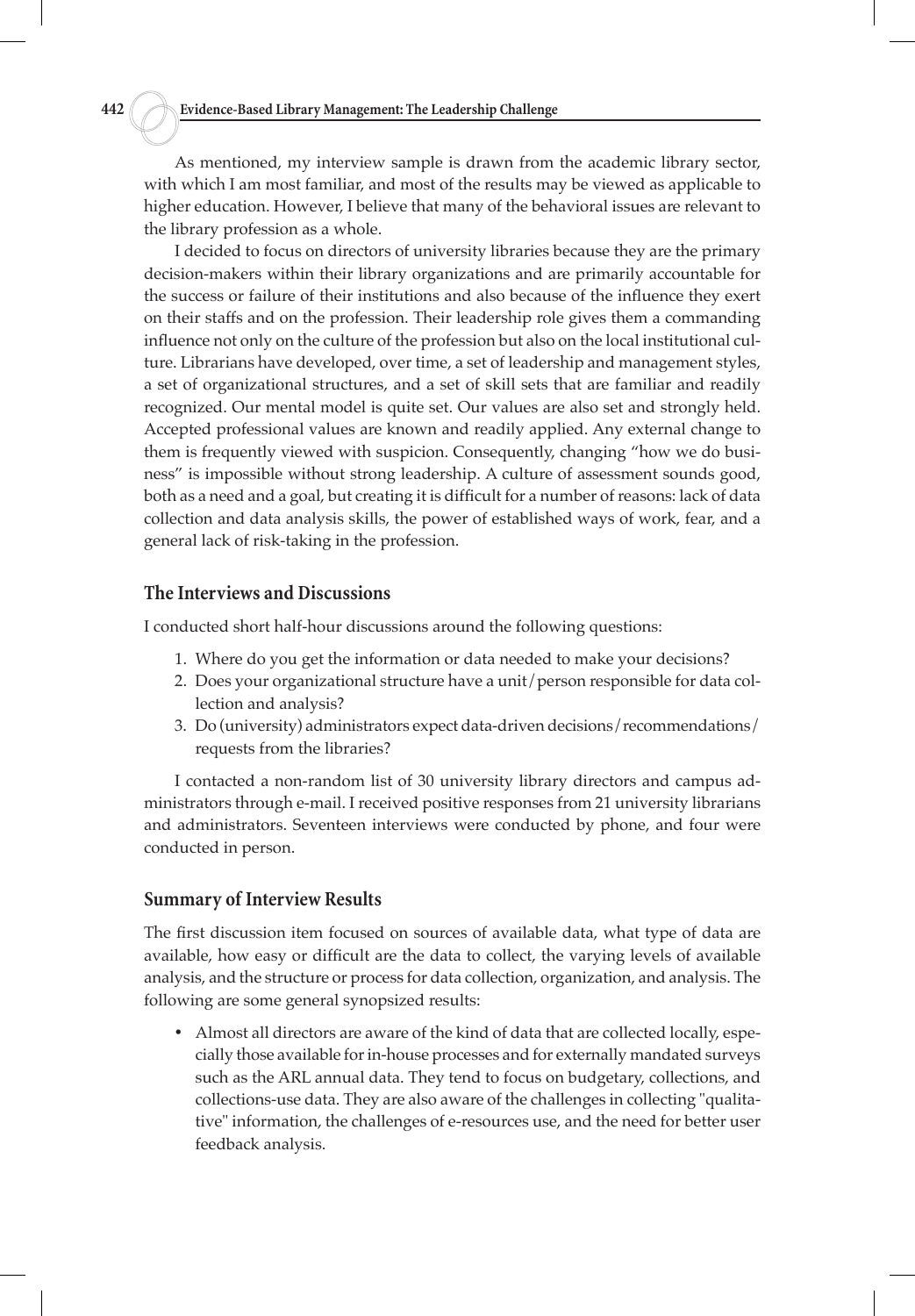As mentioned, my interview sample is drawn from the academic library sector, with which I am most familiar, and most of the results may be viewed as applicable to higher education. However, I believe that many of the behavioral issues are relevant to the library profession as a whole.

I decided to focus on directors of university libraries because they are the primary decision-makers within their library organizations and are primarily accountable for the success or failure of their institutions and also because of the influence they exert on their staffs and on the profession. Their leadership role gives them a commanding influence not only on the culture of the profession but also on the local institutional culture. Librarians have developed, over time, a set of leadership and management styles, a set of organizational structures, and a set of skill sets that are familiar and readily recognized. Our mental model is quite set. Our values are also set and strongly held. Accepted professional values are known and readily applied. Any external change to them is frequently viewed with suspicion. Consequently, changing "how we do business" is impossible without strong leadership. A culture of assessment sounds good, both as a need and a goal, but creating it is difficult for a number of reasons: lack of data collection and data analysis skills, the power of established ways of work, fear, and a general lack of risk-taking in the profession.

#### **The Interviews and Discussions**

I conducted short half-hour discussions around the following questions:

- 1. Where do you get the information or data needed to make your decisions?
- 2. Does your organizational structure have a unit/person responsible for data collection and analysis?
- 3. Do (university) administrators expect data-driven decisions/recommendations/ requests from the libraries?

I contacted a non-random list of 30 university library directors and campus administrators through e-mail. I received positive responses from 21 university librarians and administrators. Seventeen interviews were conducted by phone, and four were conducted in person.

#### **Summary of Interview Results**

The first discussion item focused on sources of available data, what type of data are available, how easy or difficult are the data to collect, the varying levels of available analysis, and the structure or process for data collection, organization, and analysis. The following are some general synopsized results:

• Almost all directors are aware of the kind of data that are collected locally, especially those available for in-house processes and for externally mandated surveys such as the ARL annual data. They tend to focus on budgetary, collections, and collections-use data. They are also aware of the challenges in collecting "qualitative" information, the challenges of e-resources use, and the need for better user feedback analysis.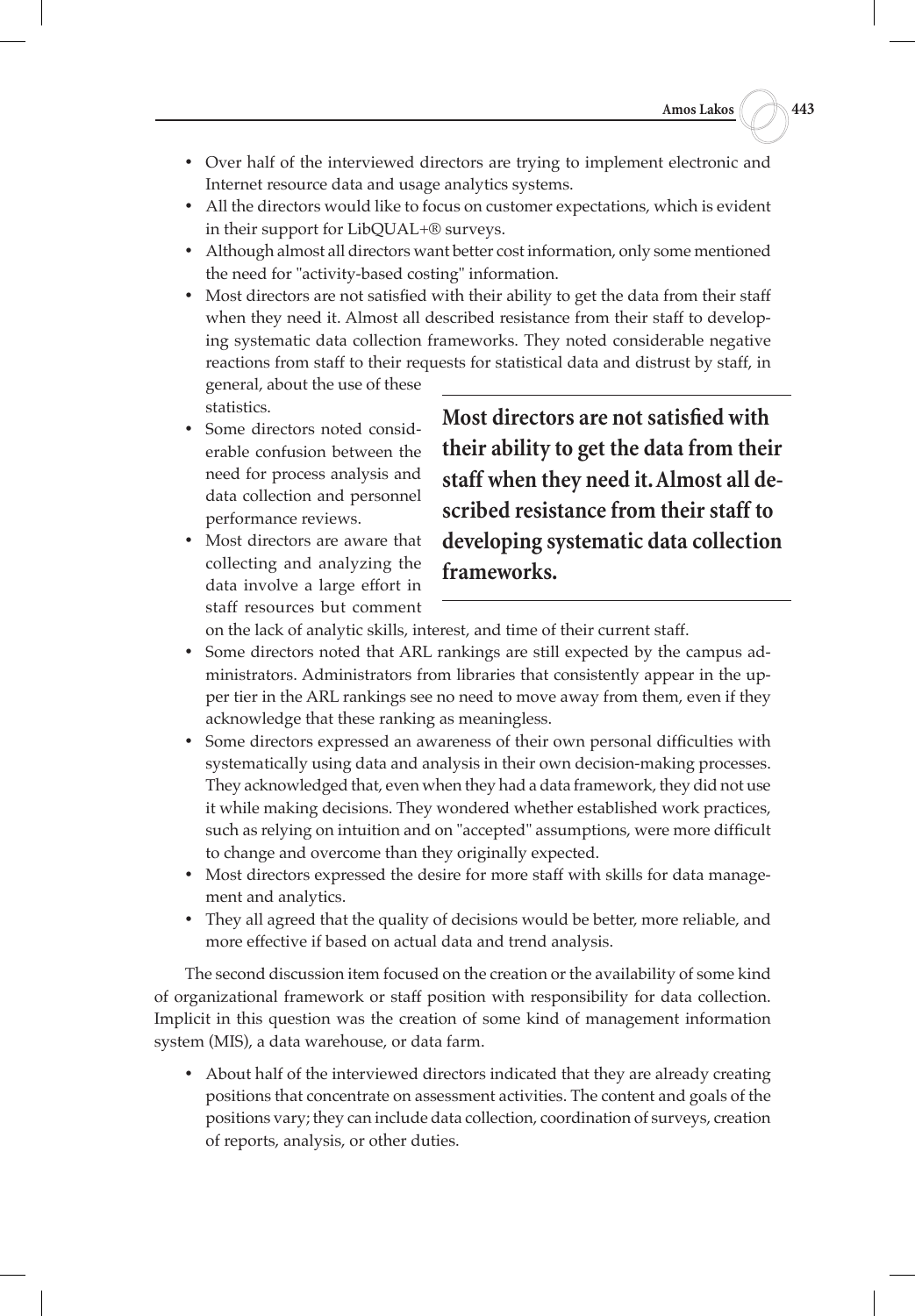- Over half of the interviewed directors are trying to implement electronic and Internet resource data and usage analytics systems.
- All the directors would like to focus on customer expectations, which is evident in their support for LibQUAL+® surveys.
- • Although almost all directors want better cost information, only some mentioned the need for "activity-based costing" information.
- Most directors are not satisfied with their ability to get the data from their staff when they need it. Almost all described resistance from their staff to developing systematic data collection frameworks. They noted considerable negative reactions from staff to their requests for statistical data and distrust by staff, in

general, about the use of these statistics.

- Some directors noted considerable confusion between the need for process analysis and data collection and personnel performance reviews.
- Most directors are aware that collecting and analyzing the data involve a large effort in staff resources but comment

**Most directors are not satisfied with their ability to get the data from their staff when they need it. Almost all described resistance from their staff to developing systematic data collection frameworks.**

on the lack of analytic skills, interest, and time of their current staff.

- Some directors noted that ARL rankings are still expected by the campus administrators. Administrators from libraries that consistently appear in the upper tier in the ARL rankings see no need to move away from them, even if they acknowledge that these ranking as meaningless.
- • Some directors expressed an awareness of their own personal difficulties with systematically using data and analysis in their own decision-making processes. They acknowledged that, even when they had a data framework, they did not use it while making decisions. They wondered whether established work practices, such as relying on intuition and on "accepted" assumptions, were more difficult to change and overcome than they originally expected.
- Most directors expressed the desire for more staff with skills for data management and analytics.
- They all agreed that the quality of decisions would be better, more reliable, and more effective if based on actual data and trend analysis.

The second discussion item focused on the creation or the availability of some kind of organizational framework or staff position with responsibility for data collection. Implicit in this question was the creation of some kind of management information system (MIS), a data warehouse, or data farm.

About half of the interviewed directors indicated that they are already creating positions that concentrate on assessment activities. The content and goals of the positions vary; they can include data collection, coordination of surveys, creation of reports, analysis, or other duties.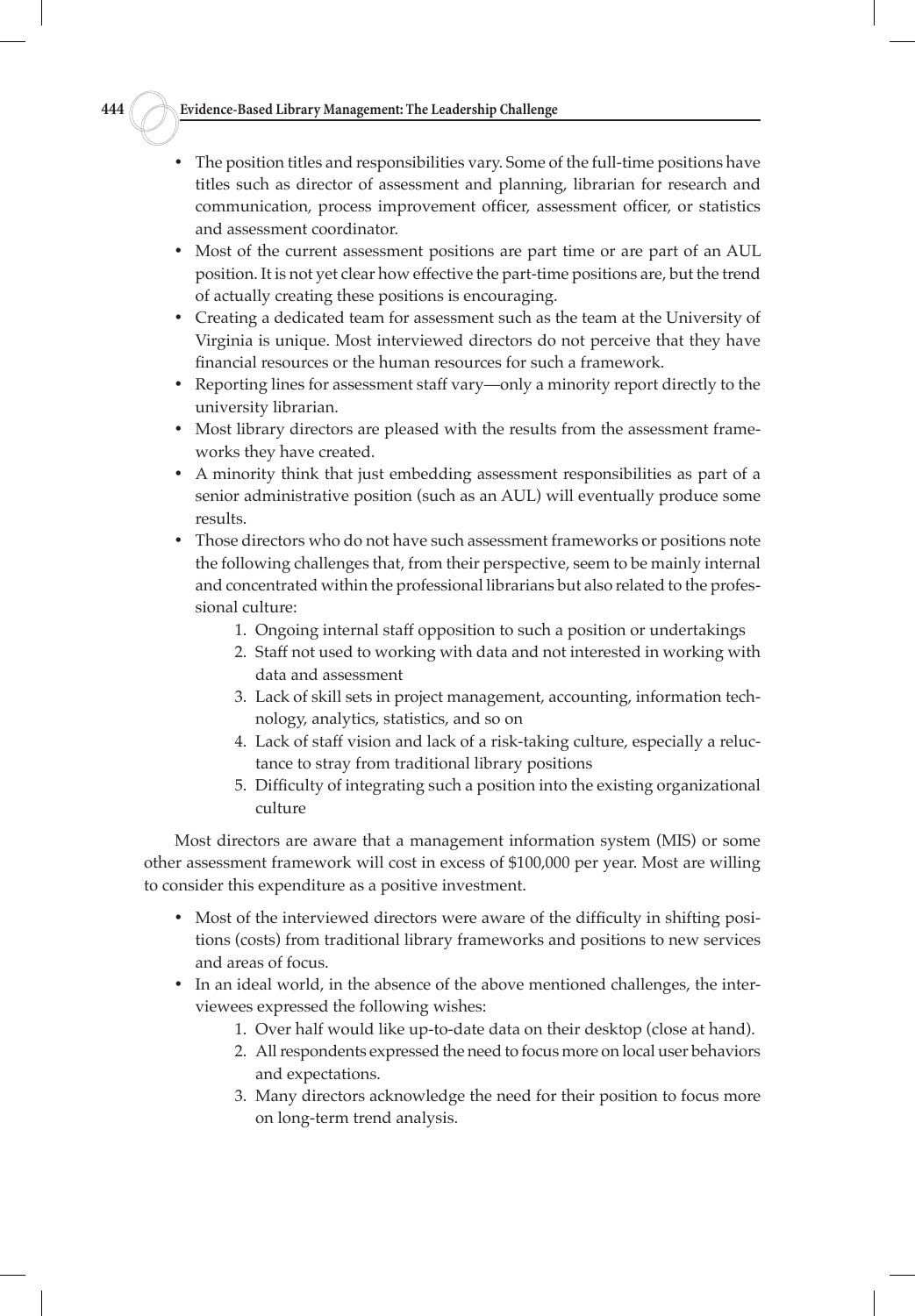- The position titles and responsibilities vary. Some of the full-time positions have titles such as director of assessment and planning, librarian for research and communication, process improvement officer, assessment officer, or statistics and assessment coordinator.
- Most of the current assessment positions are part time or are part of an AUL position. It is not yet clear how effective the part-time positions are, but the trend of actually creating these positions is encouraging.
- • Creating a dedicated team for assessment such as the team at the University of Virginia is unique. Most interviewed directors do not perceive that they have financial resources or the human resources for such a framework.
- Reporting lines for assessment staff vary—only a minority report directly to the university librarian.
- Most library directors are pleased with the results from the assessment frameworks they have created.
- • A minority think that just embedding assessment responsibilities as part of a senior administrative position (such as an AUL) will eventually produce some results.
- • Those directors who do not have such assessment frameworks or positions note the following challenges that, from their perspective, seem to be mainly internal and concentrated within the professional librarians but also related to the professional culture:
	- 1. Ongoing internal staff opposition to such a position or undertakings
	- 2. Staff not used to working with data and not interested in working with data and assessment
	- 3. Lack of skill sets in project management, accounting, information technology, analytics, statistics, and so on
	- 4. Lack of staff vision and lack of a risk-taking culture, especially a reluctance to stray from traditional library positions
	- 5. Difficulty of integrating such a position into the existing organizational culture

Most directors are aware that a management information system (MIS) or some other assessment framework will cost in excess of \$100,000 per year. Most are willing to consider this expenditure as a positive investment.

- Most of the interviewed directors were aware of the difficulty in shifting positions (costs) from traditional library frameworks and positions to new services and areas of focus.
- In an ideal world, in the absence of the above mentioned challenges, the interviewees expressed the following wishes:
	- 1. Over half would like up-to-date data on their desktop (close at hand).
	- 2. All respondents expressed the need to focus more on local user behaviors and expectations.
	- 3. Many directors acknowledge the need for their position to focus more on long-term trend analysis.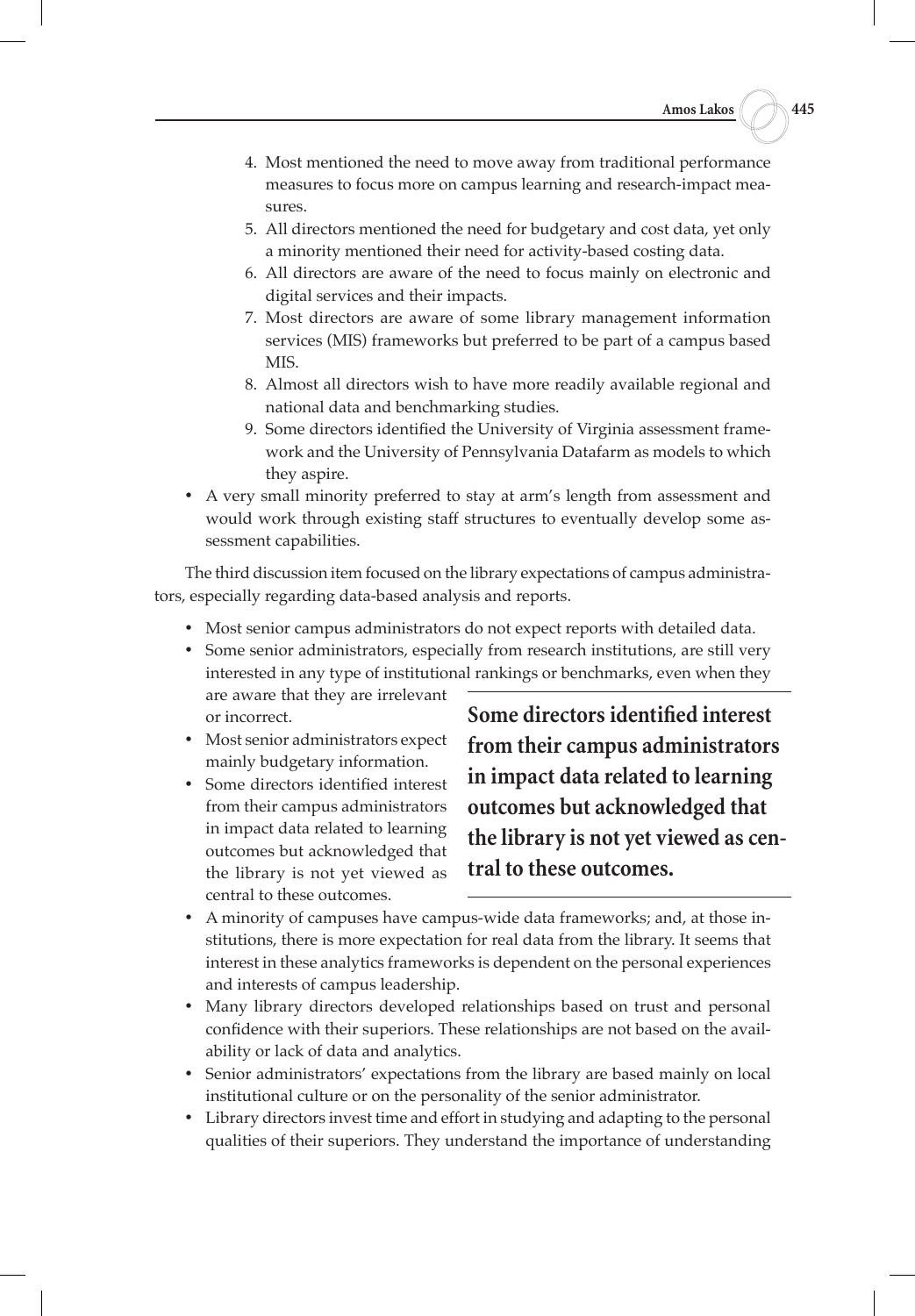- 4. Most mentioned the need to move away from traditional performance measures to focus more on campus learning and research-impact measures.
- 5. All directors mentioned the need for budgetary and cost data, yet only a minority mentioned their need for activity-based costing data.
- 6. All directors are aware of the need to focus mainly on electronic and digital services and their impacts.
- 7. Most directors are aware of some library management information services (MIS) frameworks but preferred to be part of a campus based MIS.
- 8. Almost all directors wish to have more readily available regional and national data and benchmarking studies.
- 9. Some directors identified the University of Virginia assessment framework and the University of Pennsylvania Datafarm as models to which they aspire.
- A very small minority preferred to stay at arm's length from assessment and would work through existing staff structures to eventually develop some assessment capabilities.

The third discussion item focused on the library expectations of campus administrators, especially regarding data-based analysis and reports.

• Most senior campus administrators do not expect reports with detailed data.

Some senior administrators, especially from research institutions, are still very interested in any type of institutional rankings or benchmarks, even when they are aware that they are irrelevant or incorrect.

- • Most senior administrators expect mainly budgetary information.
- • Some directors identified interest from their campus administrators in impact data related to learning outcomes but acknowledged that the library is not yet viewed as central to these outcomes.

**Some directors identified interest from their campus administrators in impact data related to learning outcomes but acknowledged that the library is not yet viewed as central to these outcomes.**

- A minority of campuses have campus-wide data frameworks; and, at those institutions, there is more expectation for real data from the library. It seems that interest in these analytics frameworks is dependent on the personal experiences and interests of campus leadership.
- Many library directors developed relationships based on trust and personal confidence with their superiors. These relationships are not based on the availability or lack of data and analytics.
- Senior administrators' expectations from the library are based mainly on local institutional culture or on the personality of the senior administrator.
- Library directors invest time and effort in studying and adapting to the personal qualities of their superiors. They understand the importance of understanding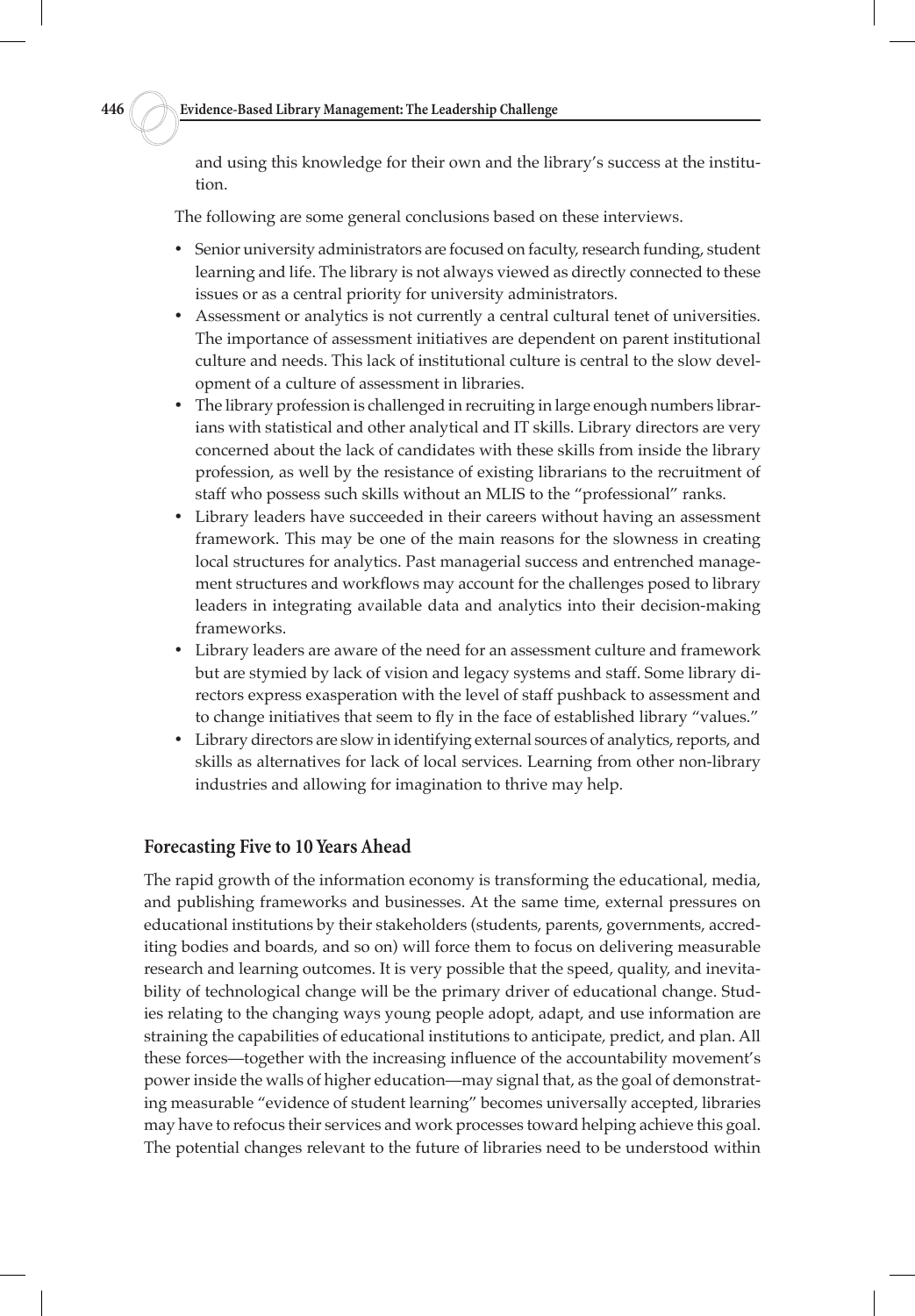and using this knowledge for their own and the library's success at the institution.

The following are some general conclusions based on these interviews.

- Senior university administrators are focused on faculty, research funding, student learning and life. The library is not always viewed as directly connected to these issues or as a central priority for university administrators.
- • Assessment or analytics is not currently a central cultural tenet of universities. The importance of assessment initiatives are dependent on parent institutional culture and needs. This lack of institutional culture is central to the slow development of a culture of assessment in libraries.
- The library profession is challenged in recruiting in large enough numbers librarians with statistical and other analytical and IT skills. Library directors are very concerned about the lack of candidates with these skills from inside the library profession, as well by the resistance of existing librarians to the recruitment of staff who possess such skills without an MLIS to the "professional" ranks.
- Library leaders have succeeded in their careers without having an assessment framework. This may be one of the main reasons for the slowness in creating local structures for analytics. Past managerial success and entrenched management structures and workflows may account for the challenges posed to library leaders in integrating available data and analytics into their decision-making frameworks.
- Library leaders are aware of the need for an assessment culture and framework but are stymied by lack of vision and legacy systems and staff. Some library directors express exasperation with the level of staff pushback to assessment and to change initiatives that seem to fly in the face of established library "values."
- • Library directors are slow in identifying external sources of analytics, reports, and skills as alternatives for lack of local services. Learning from other non-library industries and allowing for imagination to thrive may help.

## **Forecasting Five to 10 Years Ahead**

The rapid growth of the information economy is transforming the educational, media, and publishing frameworks and businesses. At the same time, external pressures on educational institutions by their stakeholders (students, parents, governments, accrediting bodies and boards, and so on) will force them to focus on delivering measurable research and learning outcomes. It is very possible that the speed, quality, and inevitability of technological change will be the primary driver of educational change. Studies relating to the changing ways young people adopt, adapt, and use information are straining the capabilities of educational institutions to anticipate, predict, and plan. All these forces—together with the increasing influence of the accountability movement's power inside the walls of higher education—may signal that, as the goal of demonstrating measurable "evidence of student learning" becomes universally accepted, libraries may have to refocus their services and work processes toward helping achieve this goal. The potential changes relevant to the future of libraries need to be understood within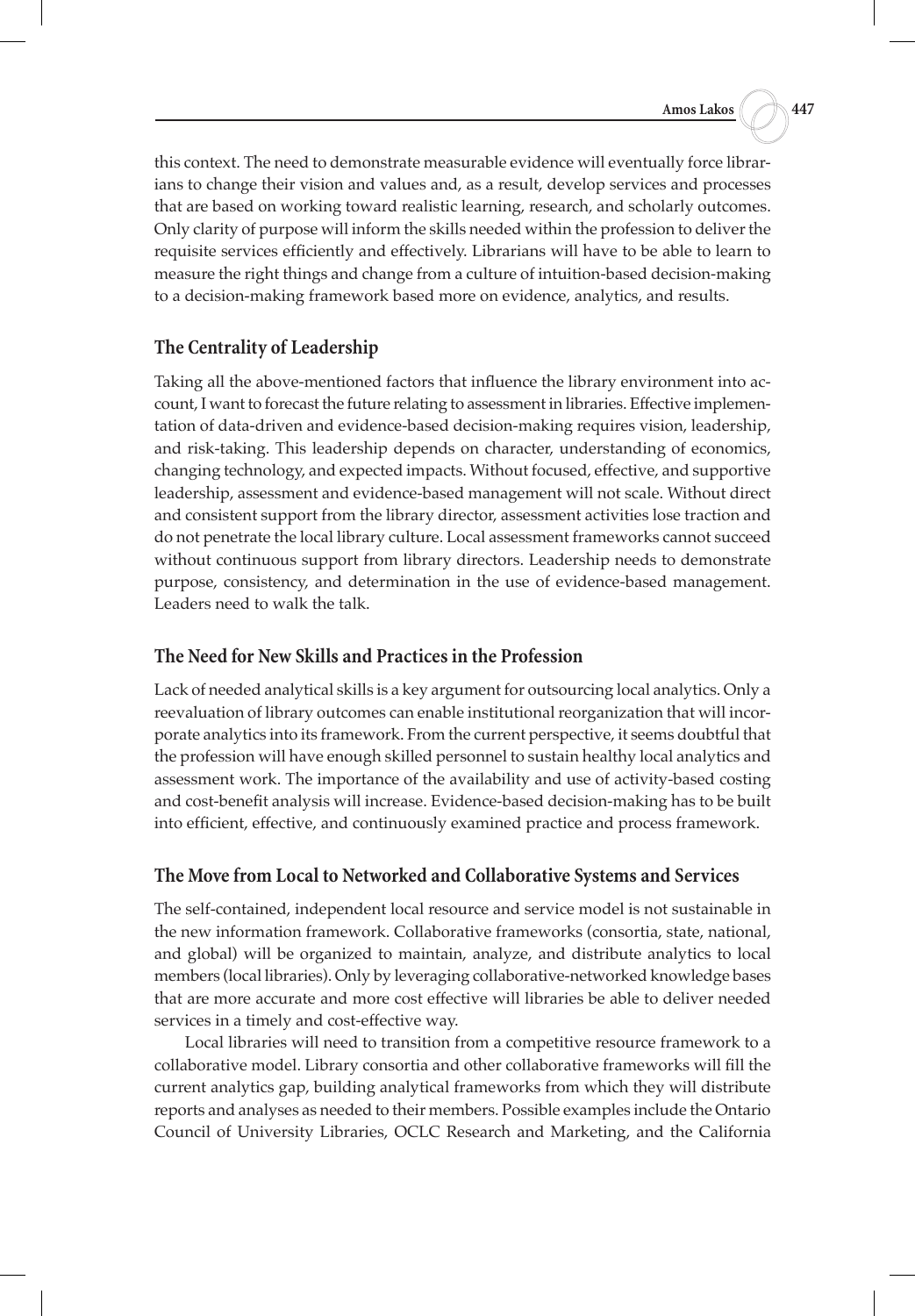this context. The need to demonstrate measurable evidence will eventually force librarians to change their vision and values and, as a result, develop services and processes that are based on working toward realistic learning, research, and scholarly outcomes. Only clarity of purpose will inform the skills needed within the profession to deliver the requisite services efficiently and effectively. Librarians will have to be able to learn to measure the right things and change from a culture of intuition-based decision-making to a decision-making framework based more on evidence, analytics, and results.

# **The Centrality of Leadership**

Taking all the above-mentioned factors that influence the library environment into account, I want to forecast the future relating to assessment in libraries. Effective implementation of data-driven and evidence-based decision-making requires vision, leadership, and risk-taking. This leadership depends on character, understanding of economics, changing technology, and expected impacts. Without focused, effective, and supportive leadership, assessment and evidence-based management will not scale. Without direct and consistent support from the library director, assessment activities lose traction and do not penetrate the local library culture. Local assessment frameworks cannot succeed without continuous support from library directors. Leadership needs to demonstrate purpose, consistency, and determination in the use of evidence-based management. Leaders need to walk the talk.

## **The Need for New Skills and Practices in the Profession**

Lack of needed analytical skills is a key argument for outsourcing local analytics. Only a reevaluation of library outcomes can enable institutional reorganization that will incorporate analytics into its framework. From the current perspective, it seems doubtful that the profession will have enough skilled personnel to sustain healthy local analytics and assessment work. The importance of the availability and use of activity-based costing and cost-benefit analysis will increase. Evidence-based decision-making has to be built into efficient, effective, and continuously examined practice and process framework.

## **The Move from Local to Networked and Collaborative Systems and Services**

The self-contained, independent local resource and service model is not sustainable in the new information framework. Collaborative frameworks (consortia, state, national, and global) will be organized to maintain, analyze, and distribute analytics to local members (local libraries). Only by leveraging collaborative-networked knowledge bases that are more accurate and more cost effective will libraries be able to deliver needed services in a timely and cost-effective way.

Local libraries will need to transition from a competitive resource framework to a collaborative model. Library consortia and other collaborative frameworks will fill the current analytics gap, building analytical frameworks from which they will distribute reports and analyses as needed to their members. Possible examples include the Ontario Council of University Libraries, OCLC Research and Marketing, and the California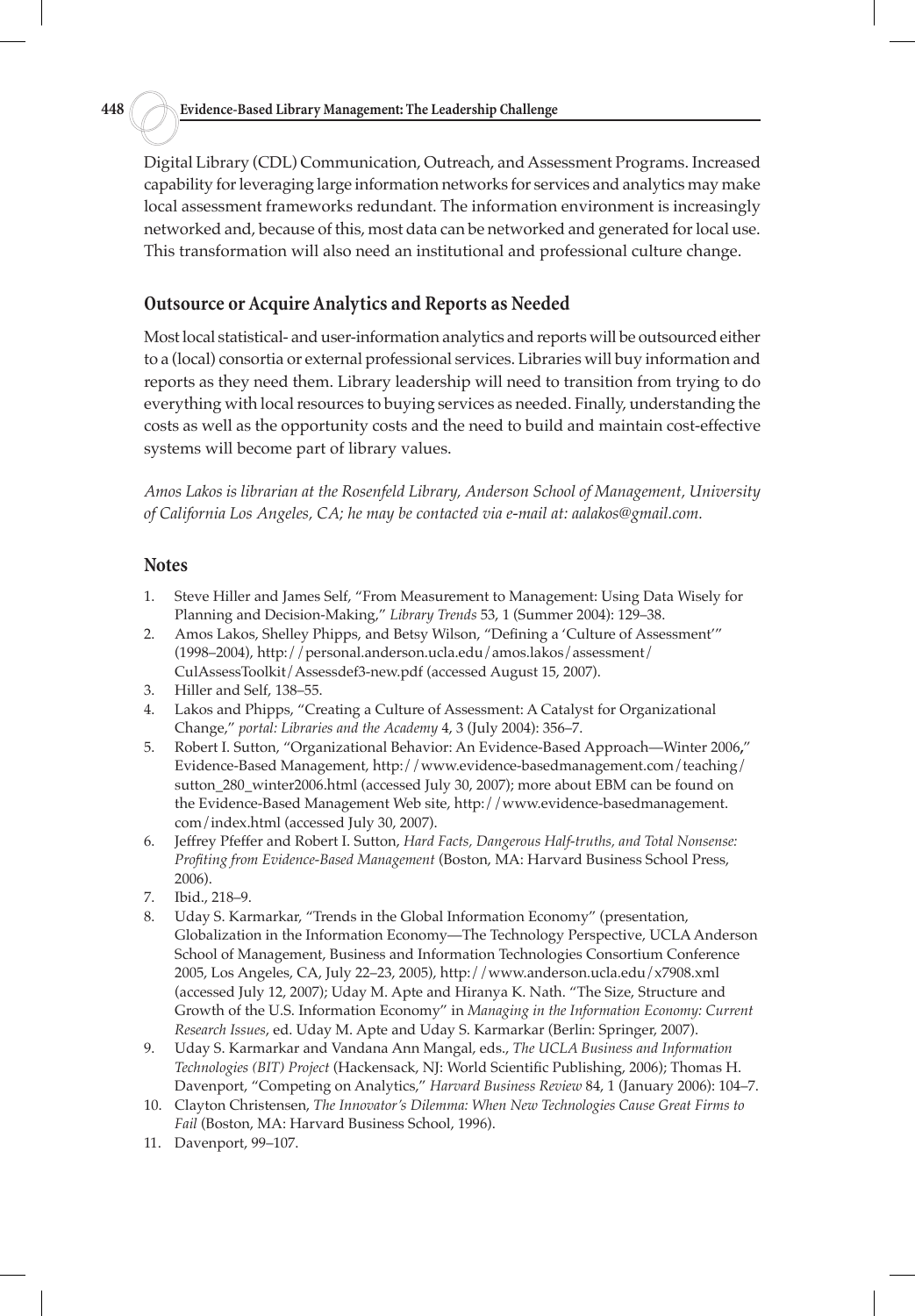Digital Library (CDL) Communication, Outreach, and Assessment Programs. Increased capability for leveraging large information networks for services and analytics may make local assessment frameworks redundant. The information environment is increasingly networked and, because of this, most data can be networked and generated for local use. This transformation will also need an institutional and professional culture change.

# **Outsource or Acquire Analytics and Reports as Needed**

Most local statistical- and user-information analytics and reports will be outsourced either to a (local) consortia or external professional services. Libraries will buy information and reports as they need them. Library leadership will need to transition from trying to do everything with local resources to buying services as needed. Finally, understanding the costs as well as the opportunity costs and the need to build and maintain cost-effective systems will become part of library values.

*Amos Lakos is librarian at the Rosenfeld Library, Anderson School of Management, University of California Los Angeles, CA; he may be contacted via e-mail at: aalakos@gmail.com.*

## **Notes**

- 1. Steve Hiller and James Self, "From Measurement to Management: Using Data Wisely for Planning and Decision-Making," *Library Trends* 53, 1 (Summer 2004): 129–38.
- 2. Amos Lakos, Shelley Phipps, and Betsy Wilson, "Defining a 'Culture of Assessment'" (1998–2004), http://personal.anderson.ucla.edu/amos.lakos/assessment/ CulAssessToolkit/Assessdef3-new.pdf (accessed August 15, 2007).
- 3. Hiller and Self, 138–55.
- 4. Lakos and Phipps, "Creating a Culture of Assessment: A Catalyst for Organizational Change," *portal: Libraries and the Academy* 4, 3 (July 2004): 356–7.
- 5. Robert I. Sutton, "Organizational Behavior: An Evidence-Based Approach—Winter 2006**,**" Evidence-Based Management, http://www.evidence-basedmanagement.com/teaching/ sutton\_280\_winter2006.html (accessed July 30, 2007); more about EBM can be found on the Evidence-Based Management Web site, http://www.evidence-basedmanagement. com/index.html (accessed July 30, 2007).
- 6. Jeffrey Pfeffer and Robert I. Sutton, *Hard Facts, Dangerous Half-truths, and Total Nonsense: Profiting from Evidence-Based Management* (Boston, MA: Harvard Business School Press, 2006).
- 7. Ibid., 218–9.
- 8. Uday S. Karmarkar, "Trends in the Global Information Economy" (presentation, Globalization in the Information Economy—The Technology Perspective, UCLA Anderson School of Management, Business and Information Technologies Consortium Conference 2005, Los Angeles, CA, July 22–23, 2005), http://www.anderson.ucla.edu/x7908.xml (accessed July 12, 2007); Uday M. Apte and Hiranya K. Nath. "The Size, Structure and Growth of the U.S. Information Economy" in *Managing in the Information Economy: Current Research Issues*, ed. Uday M. Apte and Uday S. Karmarkar (Berlin: Springer, 2007).
- 9. Uday S. Karmarkar and Vandana Ann Mangal, eds., *The UCLA Business and Information Technologies (BIT) Project* (Hackensack, NJ: World Scientific Publishing, 2006); Thomas H. Davenport, "Competing on Analytics," *Harvard Business Review* 84, 1 (January 2006): 104–7.
- 10. Clayton Christensen, *The Innovator's Dilemma: When New Technologies Cause Great Firms to Fail* (Boston, MA: Harvard Business School, 1996).
- 11. Davenport, 99–107.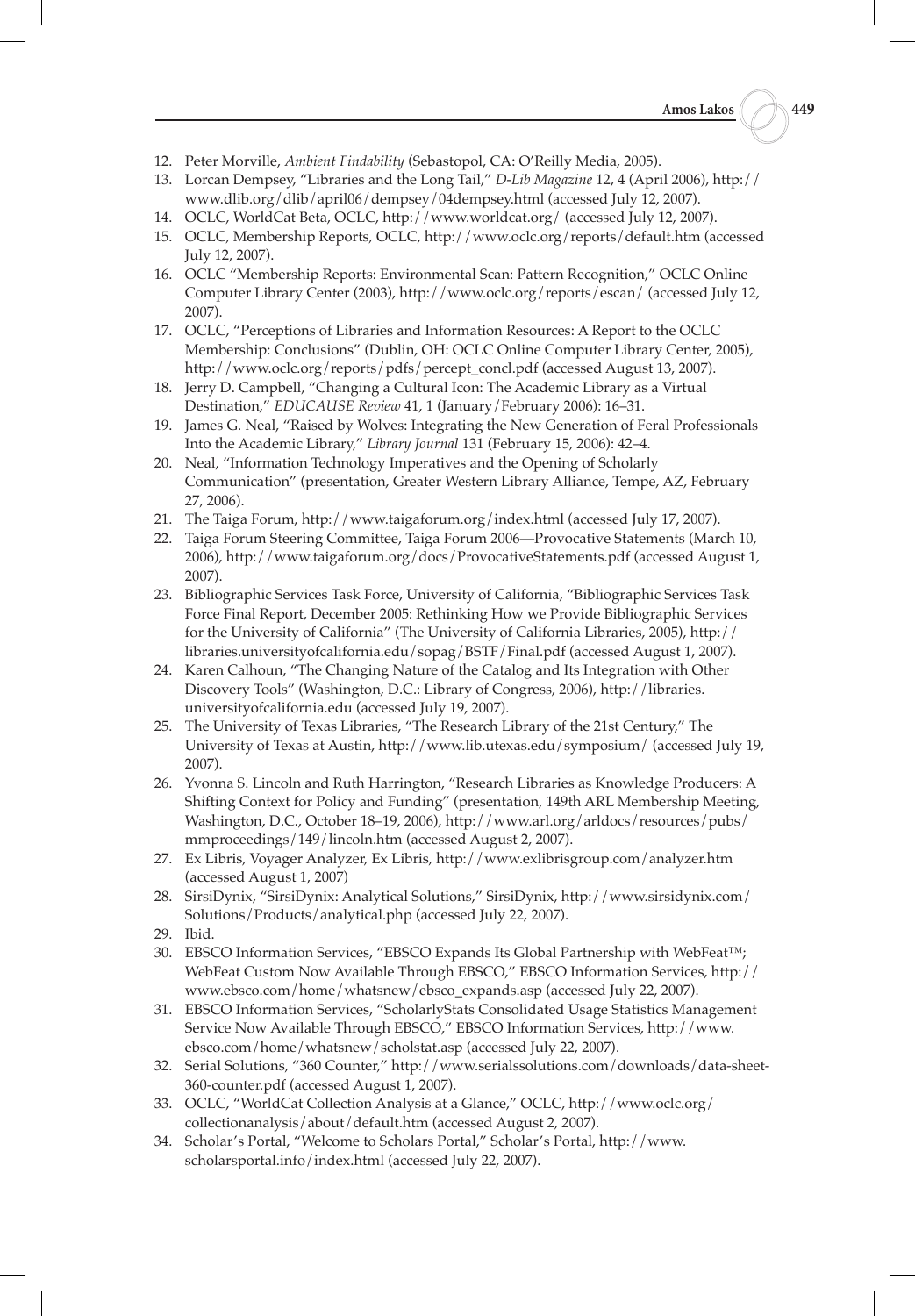#### **Amos Lakos 449**

- 12. Peter Morville, *Ambient Findability* (Sebastopol, CA: O'Reilly Media, 2005).
- 13. Lorcan Dempsey, "Libraries and the Long Tail," *D-Lib Magazine* 12, 4 (April 2006), http:// www.dlib.org/dlib/april06/dempsey/04dempsey.html (accessed July 12, 2007).
- 14. OCLC, WorldCat Beta, OCLC, http://www.worldcat.org/ (accessed July 12, 2007).
- 15. OCLC, Membership Reports, OCLC, http://www.oclc.org/reports/default.htm (accessed July 12, 2007).
- 16. OCLC "Membership Reports: Environmental Scan: Pattern Recognition," OCLC Online Computer Library Center (2003), http://www.oclc.org/reports/escan/ (accessed July 12, 2007).
- 17. OCLC, "Perceptions of Libraries and Information Resources: A Report to the OCLC Membership: Conclusions" (Dublin, OH: OCLC Online Computer Library Center, 2005), http://www.oclc.org/reports/pdfs/percept\_concl.pdf (accessed August 13, 2007).
- 18. Jerry D. Campbell, "Changing a Cultural Icon: The Academic Library as a Virtual Destination," *EDUCAUSE Review* 41, 1 (January/February 2006): 16–31.
- 19. James G. Neal, "Raised by Wolves: Integrating the New Generation of Feral Professionals Into the Academic Library," *Library Journal* 131 (February 15, 2006): 42–4.
- 20. Neal, "Information Technology Imperatives and the Opening of Scholarly Communication" (presentation, Greater Western Library Alliance, Tempe, AZ, February 27, 2006).
- 21. The Taiga Forum, http://www.taigaforum.org/index.html (accessed July 17, 2007).
- 22. Taiga Forum Steering Committee, Taiga Forum 2006—Provocative Statements (March 10, 2006), http://www.taigaforum.org/docs/ProvocativeStatements.pdf (accessed August 1, 2007).
- 23. Bibliographic Services Task Force, University of California, "Bibliographic Services Task Force Final Report, December 2005: Rethinking How we Provide Bibliographic Services for the University of California" (The University of California Libraries, 2005), http:// libraries.universityofcalifornia.edu/sopag/BSTF/Final.pdf (accessed August 1, 2007).
- 24. Karen Calhoun, "The Changing Nature of the Catalog and Its Integration with Other Discovery Tools" (Washington, D.C.: Library of Congress, 2006), http://libraries. universityofcalifornia.edu (accessed July 19, 2007).
- 25. The University of Texas Libraries, "The Research Library of the 21st Century," The University of Texas at Austin, http://www.lib.utexas.edu/symposium/ (accessed July 19, 2007).
- 26. Yvonna S. Lincoln and Ruth Harrington, "Research Libraries as Knowledge Producers: A Shifting Context for Policy and Funding" (presentation, 149th ARL Membership Meeting, Washington, D.C., October 18–19, 2006), http://www.arl.org/arldocs/resources/pubs/ mmproceedings/149/lincoln.htm (accessed August 2, 2007).
- 27. Ex Libris, Voyager Analyzer, Ex Libris, http://www.exlibrisgroup.com/analyzer.htm (accessed August 1, 2007)
- 28. SirsiDynix, "SirsiDynix: Analytical Solutions," SirsiDynix, http://www.sirsidynix.com/ Solutions/Products/analytical.php (accessed July 22, 2007).
- 29. Ibid.
- 30. EBSCO Information Services, "EBSCO Expands Its Global Partnership with WebFeat™; WebFeat Custom Now Available Through EBSCO," EBSCO Information Services, http:// www.ebsco.com/home/whatsnew/ebsco\_expands.asp (accessed July 22, 2007).
- 31. EBSCO Information Services, "ScholarlyStats Consolidated Usage Statistics Management Service Now Available Through EBSCO," EBSCO Information Services, http://www. ebsco.com/home/whatsnew/scholstat.asp (accessed July 22, 2007).
- 32. Serial Solutions, "360 Counter," http://www.serialssolutions.com/downloads/data-sheet-360-counter.pdf (accessed August 1, 2007).
- 33. OCLC, "WorldCat Collection Analysis at a Glance," OCLC, http://www.oclc.org/ collectionanalysis/about/default.htm (accessed August 2, 2007).
- 34. Scholar's Portal, "Welcome to Scholars Portal," Scholar's Portal, http://www. scholarsportal.info/index.html (accessed July 22, 2007).